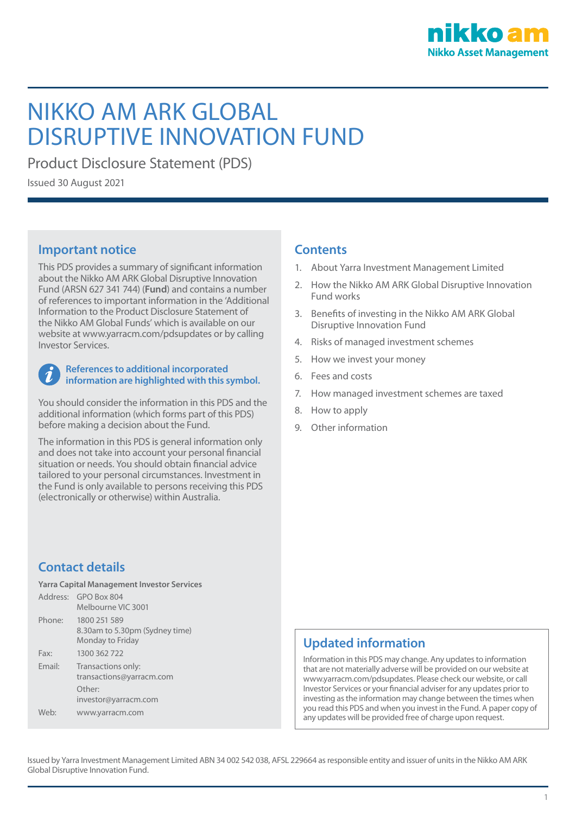

# NIKKO AM ARK GLOBAL DISRUPTIVE INNOVATION FUND

Product Disclosure Statement (PDS)

Issued 30 August 2021

# **Important notice**

This PDS provides a summary of significant information about the Nikko AM ARK Global Disruptive Innovation Fund (ARSN 627 341 744) (**Fund**) and contains a number of references to important information in the 'Additional Information to the Product Disclosure Statement of the Nikko AM Global Funds' which is available on our website at www.yarracm.com/pdsupdates or by calling Investor Services.

### **References to additional incorporated information are highlighted with this symbol.**

You should consider the information in this PDS and the additional information (which forms part of this PDS) before making a decision about the Fund.

The information in this PDS is general information only and does not take into account your personal financial situation or needs. You should obtain financial advice tailored to your personal circumstances. Investment in the Fund is only available to persons receiving this PDS (electronically or otherwise) within Australia.

# **Contact details**

**Yarra Capital Management Investor Services**

| 8.30am to 5.30pm (Sydney time) |
|--------------------------------|
|                                |
|                                |
|                                |
|                                |
|                                |

# **Contents**

- 1. About Yarra Investment Management Limited
- 2. How the Nikko AM ARK Global Disruptive Innovation Fund works
- 3. Benefits of investing in the Nikko AM ARK Global Disruptive Innovation Fund
- 4. Risks of managed investment schemes
- 5. How we invest your money
- 6. Fees and costs
- 7. How managed investment schemes are taxed
- 8. How to apply
- 9. Other information

# **Updated information**

Information in this PDS may change. Any updates to information that are not materially adverse will be provided on our website at www.yarracm.com/pdsupdates. Please check our website, or call Investor Services or your financial adviser for any updates prior to investing as the information may change between the times when you read this PDS and when you invest in the Fund. A paper copy of any updates will be provided free of charge upon request.

Issued by Yarra Investment Management Limited ABN 34 002 542 038, AFSL 229664 as responsible entity and issuer of units in the Nikko AM ARK Global Disruptive Innovation Fund.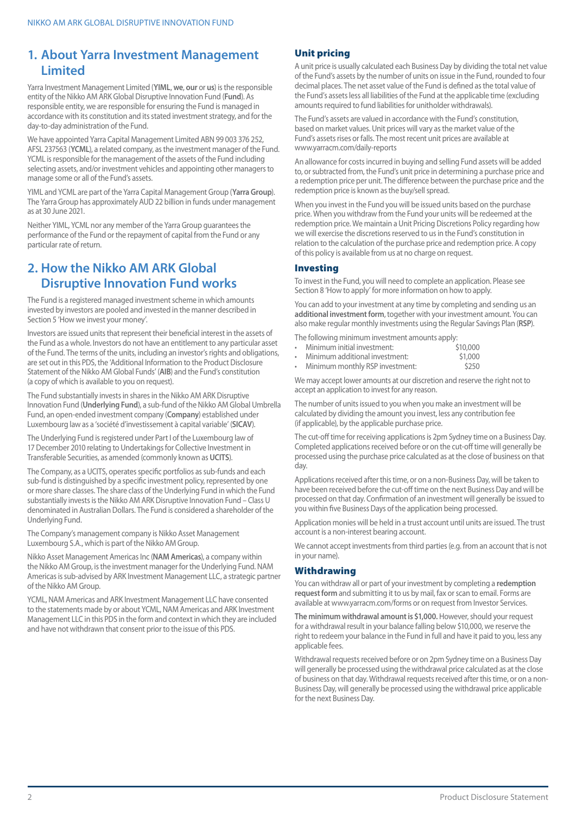# **1. About Yarra Investment Management Limited**

Yarra Investment Management Limited (**YIML**, **we**, **our** or **us**) is the responsible entity of the Nikko AM ARK Global Disruptive Innovation Fund (**Fund**). As responsible entity, we are responsible for ensuring the Fund is managed in accordance with its constitution and its stated investment strategy, and for the day-to-day administration of the Fund.

We have appointed Yarra Capital Management Limited ABN 99 003 376 252, AFSL 237563 (**YCML**), a related company, as the investment manager of the Fund. YCML is responsible for the management of the assets of the Fund including selecting assets, and/or investment vehicles and appointing other managers to manage some or all of the Fund's assets.

YIML and YCML are part of the Yarra Capital Management Group (**Yarra Group**). The Yarra Group has approximately AUD 22 billion in funds under management as at 30 June 2021.

Neither YIML, YCML nor any member of the Yarra Group guarantees the performance of the Fund or the repayment of capital from the Fund or any particular rate of return.

# **2. How the Nikko AM ARK Global Disruptive Innovation Fund works**

The Fund is a registered managed investment scheme in which amounts invested by investors are pooled and invested in the manner described in Section 5 'How we invest your money'.

Investors are issued units that represent their beneficial interest in the assets of the Fund as a whole. Investors do not have an entitlement to any particular asset of the Fund. The terms of the units, including an investor's rights and obligations, are set out in this PDS, the 'Additional Information to the Product Disclosure Statement of the Nikko AM Global Funds' (**AIB**) and the Fund's constitution (a copy of which is available to you on request).

The Fund substantially invests in shares in the Nikko AM ARK Disruptive Innovation Fund (**Underlying Fund**), a sub-fund of the Nikko AM Global Umbrella Fund, an open-ended investment company (**Company**) established under Luxembourg law as a 'société d'investissement à capital variable' (**SICAV**).

The Underlying Fund is registered under Part I of the Luxembourg law of 17 December 2010 relating to Undertakings for Collective Investment in Transferable Securities, as amended (commonly known as **UCITS**).

The Company, as a UCITS, operates specific portfolios as sub-funds and each sub-fund is distinguished by a specific investment policy, represented by one or more share classes. The share class of the Underlying Fund in which the Fund substantially invests is the Nikko AM ARK Disruptive Innovation Fund – Class U denominated in Australian Dollars. The Fund is considered a shareholder of the Underlying Fund.

The Company's management company is Nikko Asset Management Luxembourg S.A., which is part of the Nikko AM Group.

Nikko Asset Management Americas Inc (**NAM Americas**), a company within the Nikko AM Group, is the investment manager for the Underlying Fund. NAM Americas is sub-advised by ARK Investment Management LLC, a strategic partner of the Nikko AM Group.

YCML, NAM Americas and ARK Investment Management LLC have consented to the statements made by or about YCML, NAM Americas and ARK Investment Management LLC in this PDS in the form and context in which they are included and have not withdrawn that consent prior to the issue of this PDS.

### Unit pricing

A unit price is usually calculated each Business Day by dividing the total net value of the Fund's assets by the number of units on issue in the Fund, rounded to four decimal places. The net asset value of the Fund is defined as the total value of the Fund's assets less all liabilities of the Fund at the applicable time (excluding amounts required to fund liabilities for unitholder withdrawals).

The Fund's assets are valued in accordance with the Fund's constitution, based on market values. Unit prices will vary as the market value of the Fund's assets rises or falls. The most recent unit prices are available at www.yarracm.com/daily-reports

An allowance for costs incurred in buying and selling Fund assets will be added to, or subtracted from, the Fund's unit price in determining a purchase price and a redemption price per unit. The difference between the purchase price and the redemption price is known as the buy/sell spread.

When you invest in the Fund you will be issued units based on the purchase price. When you withdraw from the Fund your units will be redeemed at the redemption price. We maintain a Unit Pricing Discretions Policy regarding how we will exercise the discretions reserved to us in the Fund's constitution in relation to the calculation of the purchase price and redemption price. A copy of this policy is available from us at no charge on request.

### Investing

To invest in the Fund, you will need to complete an application. Please see Section 8 'How to apply' for more information on how to apply.

You can add to your investment at any time by completing and sending us an **additional investment form**, together with your investment amount. You can also make regular monthly investments using the Regular Savings Plan (**RSP**).

The following minimum investment amounts apply:

- • Minimum initial investment: \$10,000 Minimum additional investments
- Minimum monthly RSP investment:  $\frac{1}{250}$

We may accept lower amounts at our discretion and reserve the right not to accept an application to invest for any reason.

The number of units issued to you when you make an investment will be calculated by dividing the amount you invest, less any contribution fee (if applicable), by the applicable purchase price.

The cut-off time for receiving applications is 2pm Sydney time on a Business Day. Completed applications received before or on the cut-off time will generally be processed using the purchase price calculated as at the close of business on that day.

Applications received after this time, or on a non-Business Day, will be taken to have been received before the cut-off time on the next Business Day and will be processed on that day. Confirmation of an investment will generally be issued to you within five Business Days of the application being processed.

Application monies will be held in a trust account until units are issued. The trust account is a non-interest bearing account.

We cannot accept investments from third parties (e.g. from an account that is not in your name).

### **Withdrawing**

You can withdraw all or part of your investment by completing a **redemption request form** and submitting it to us by mail, fax or scan to email. Forms are available at www.yarracm.com/forms or on request from Investor Services.

**The minimum withdrawal amount is \$1,000.** However, should your request for a withdrawal result in your balance falling below \$10,000, we reserve the right to redeem your balance in the Fund in full and have it paid to you, less any applicable fees.

Withdrawal requests received before or on 2pm Sydney time on a Business Day will generally be processed using the withdrawal price calculated as at the close of business on that day. Withdrawal requests received after this time, or on a non-Business Day, will generally be processed using the withdrawal price applicable for the next Business Day.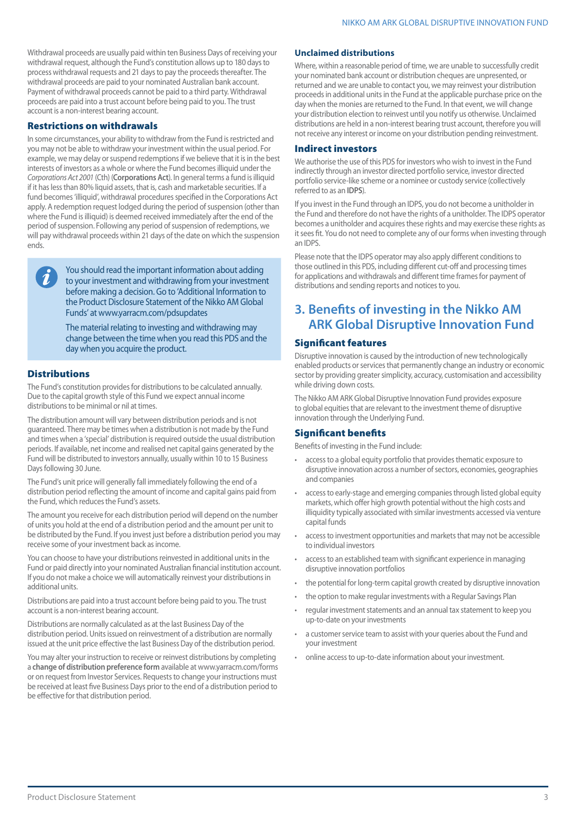Withdrawal proceeds are usually paid within ten Business Days of receiving your withdrawal request, although the Fund's constitution allows up to 180 days to process withdrawal requests and 21 days to pay the proceeds thereafter. The withdrawal proceeds are paid to your nominated Australian bank account. Payment of withdrawal proceeds cannot be paid to a third party. Withdrawal proceeds are paid into a trust account before being paid to you. The trust account is a non-interest bearing account.

### Restrictions on withdrawals

In some circumstances, your ability to withdraw from the Fund is restricted and you may not be able to withdraw your investment within the usual period. For example, we may delay or suspend redemptions if we believe that it is in the best interests of investors as a whole or where the Fund becomes illiquid under the *Corporations Act 2001* (Cth) (**Corporations Act**). In general terms a fund is illiquid if it has less than 80% liquid assets, that is, cash and marketable securities. If a fund becomes 'illiquid', withdrawal procedures specified in the Corporations Act apply. A redemption request lodged during the period of suspension (other than where the Fund is illiquid) is deemed received immediately after the end of the period of suspension. Following any period of suspension of redemptions, we will pay withdrawal proceeds within 21 days of the date on which the suspension ends.

You should read the important information about adding to your investment and withdrawing from your investment before making a decision. Go to 'Additional Information to the Product Disclosure Statement of the Nikko AM Global Funds' at www.yarracm.com/pdsupdates

The material relating to investing and withdrawing may change between the time when you read this PDS and the day when you acquire the product.

### Distributions

The Fund's constitution provides for distributions to be calculated annually. Due to the capital growth style of this Fund we expect annual income distributions to be minimal or nil at times.

The distribution amount will vary between distribution periods and is not guaranteed. There may be times when a distribution is not made by the Fund and times when a 'special' distribution is required outside the usual distribution periods. If available, net income and realised net capital gains generated by the Fund will be distributed to investors annually, usually within 10 to 15 Business Days following 30 June.

The Fund's unit price will generally fall immediately following the end of a distribution period reflecting the amount of income and capital gains paid from the Fund, which reduces the Fund's assets.

The amount you receive for each distribution period will depend on the number of units you hold at the end of a distribution period and the amount per unit to be distributed by the Fund. If you invest just before a distribution period you may receive some of your investment back as income.

You can choose to have your distributions reinvested in additional units in the Fund or paid directly into your nominated Australian financial institution account. If you do not make a choice we will automatically reinvest your distributions in additional units.

Distributions are paid into a trust account before being paid to you. The trust account is a non-interest bearing account.

Distributions are normally calculated as at the last Business Day of the distribution period. Units issued on reinvestment of a distribution are normally issued at the unit price effective the last Business Day of the distribution period.

You may alter your instruction to receive or reinvest distributions by completing a **change of distribution preference form** available at www.yarracm.com/forms or on request from Investor Services. Requests to change your instructions must be received at least five Business Days prior to the end of a distribution period to be effective for that distribution period.

#### **Unclaimed distributions**

Where, within a reasonable period of time, we are unable to successfully credit your nominated bank account or distribution cheques are unpresented, or returned and we are unable to contact you, we may reinvest your distribution proceeds in additional units in the Fund at the applicable purchase price on the day when the monies are returned to the Fund. In that event, we will change your distribution election to reinvest until you notify us otherwise. Unclaimed distributions are held in a non-interest bearing trust account, therefore you will not receive any interest or income on your distribution pending reinvestment.

#### Indirect investors

We authorise the use of this PDS for investors who wish to invest in the Fund indirectly through an investor directed portfolio service, investor directed portfolio service-like scheme or a nominee or custody service (collectively referred to as an **IDPS**).

If you invest in the Fund through an IDPS, you do not become a unitholder in the Fund and therefore do not have the rights of a unitholder. The IDPS operator becomes a unitholder and acquires these rights and may exercise these rights as it sees fit. You do not need to complete any of our forms when investing through an IDPS.

Please note that the IDPS operator may also apply different conditions to those outlined in this PDS, including different cut-off and processing times for applications and withdrawals and different time frames for payment of distributions and sending reports and notices to you.

# **3. Benefits of investing in the Nikko AM ARK Global Disruptive Innovation Fund**

### Significant features

Disruptive innovation is caused by the introduction of new technologically enabled products or services that permanently change an industry or economic sector by providing greater simplicity, accuracy, customisation and accessibility while driving down costs.

The Nikko AM ARK Global Disruptive Innovation Fund provides exposure to global equities that are relevant to the investment theme of disruptive innovation through the Underlying Fund.

### Significant benefits

Benefits of investing in the Fund include:

- access to a global equity portfolio that provides thematic exposure to disruptive innovation across a number of sectors, economies, geographies and companies
- access to early-stage and emerging companies through listed global equity markets, which offer high growth potential without the high costs and illiquidity typically associated with similar investments accessed via venture capital funds
- access to investment opportunities and markets that may not be accessible to individual investors
- access to an established team with significant experience in managing disruptive innovation portfolios
- the potential for long-term capital growth created by disruptive innovation
- the option to make regular investments with a Regular Savings Plan
- regular investment statements and an annual tax statement to keep you up-to-date on your investments
- a customer service team to assist with your queries about the Fund and your investment
- online access to up-to-date information about your investment.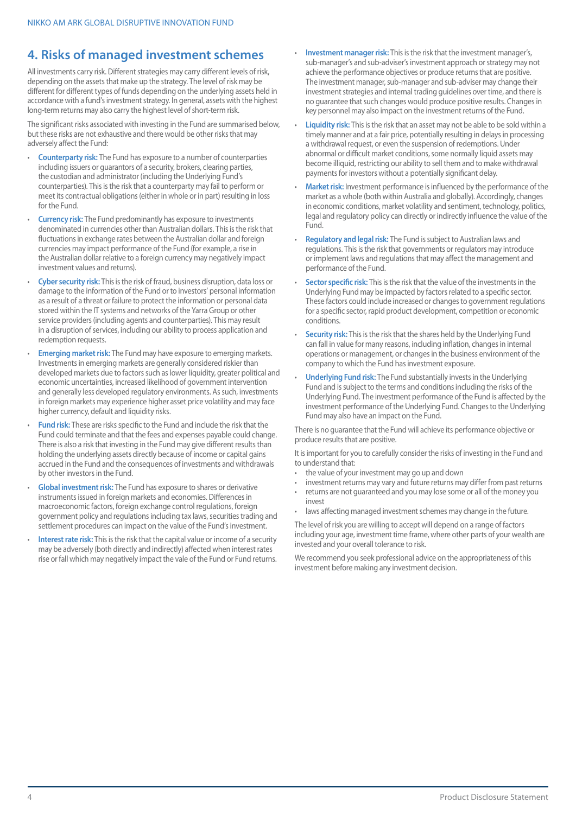# **4. Risks of managed investment schemes**

All investments carry risk. Different strategies may carry different levels of risk, depending on the assets that make up the strategy. The level of risk may be different for different types of funds depending on the underlying assets held in accordance with a fund's investment strategy. In general, assets with the highest long-term returns may also carry the highest level of short-term risk.

The significant risks associated with investing in the Fund are summarised below, but these risks are not exhaustive and there would be other risks that may adversely affect the Fund:

- **Counterparty risk:** The Fund has exposure to a number of counterparties including issuers or guarantors of a security, brokers, clearing parties, the custodian and administrator (including the Underlying Fund's counterparties). This is the risk that a counterparty may fail to perform or meet its contractual obligations (either in whole or in part) resulting in loss for the Fund.
- **Currency risk:** The Fund predominantly has exposure to investments denominated in currencies other than Australian dollars. This is the risk that fluctuations in exchange rates between the Australian dollar and foreign currencies may impact performance of the Fund (for example, a rise in the Australian dollar relative to a foreign currency may negatively impact investment values and returns).
- **Cyber security risk:** This is the risk of fraud, business disruption, data loss or damage to the information of the Fund or to investors' personal information as a result of a threat or failure to protect the information or personal data stored within the IT systems and networks of the Yarra Group or other service providers (including agents and counterparties). This may result in a disruption of services, including our ability to process application and redemption requests.
- **Emerging market risk:** The Fund may have exposure to emerging markets. Investments in emerging markets are generally considered riskier than developed markets due to factors such as lower liquidity, greater political and economic uncertainties, increased likelihood of government intervention and generally less developed regulatory environments. As such, investments in foreign markets may experience higher asset price volatility and may face higher currency, default and liquidity risks.
- **Fund risk:** These are risks specific to the Fund and include the risk that the Fund could terminate and that the fees and expenses payable could change. There is also a risk that investing in the Fund may give different results than holding the underlying assets directly because of income or capital gains accrued in the Fund and the consequences of investments and withdrawals by other investors in the Fund.
- **Global investment risk:** The Fund has exposure to shares or derivative instruments issued in foreign markets and economies. Differences in macroeconomic factors, foreign exchange control regulations, foreign government policy and regulations including tax laws, securities trading and settlement procedures can impact on the value of the Fund's investment.
- **Interest rate risk:** This is the risk that the capital value or income of a security may be adversely (both directly and indirectly) affected when interest rates rise or fall which may negatively impact the vale of the Fund or Fund returns.
- **Investment manager risk:** This is the risk that the investment manager's, sub-manager's and sub-adviser's investment approach or strategy may not achieve the performance objectives or produce returns that are positive. The investment manager, sub-manager and sub-adviser may change their investment strategies and internal trading guidelines over time, and there is no guarantee that such changes would produce positive results. Changes in key personnel may also impact on the investment returns of the Fund.
- **Liquidity risk:** This is the risk that an asset may not be able to be sold within a timely manner and at a fair price, potentially resulting in delays in processing a withdrawal request, or even the suspension of redemptions. Under abnormal or difficult market conditions, some normally liquid assets may become illiquid, restricting our ability to sell them and to make withdrawal payments for investors without a potentially significant delay.
- **Market risk:** Investment performance is influenced by the performance of the market as a whole (both within Australia and globally). Accordingly, changes in economic conditions, market volatility and sentiment, technology, politics, legal and regulatory policy can directly or indirectly influence the value of the Fund.
- **Regulatory and legal risk:** The Fund is subject to Australian laws and regulations. This is the risk that governments or regulators may introduce or implement laws and regulations that may affect the management and performance of the Fund.
- **Sector specific risk:** This is the risk that the value of the investments in the Underlying Fund may be impacted by factors related to a specific sector. These factors could include increased or changes to government regulations for a specific sector, rapid product development, competition or economic conditions.
- **Security risk:** This is the risk that the shares held by the Underlying Fund can fall in value for many reasons, including inflation, changes in internal operations or management, or changes in the business environment of the company to which the Fund has investment exposure.
- **Underlying Fund risk:** The Fund substantially invests in the Underlying Fund and is subject to the terms and conditions including the risks of the Underlying Fund. The investment performance of the Fund is affected by the investment performance of the Underlying Fund. Changes to the Underlying Fund may also have an impact on the Fund.

There is no guarantee that the Fund will achieve its performance objective or produce results that are positive.

It is important for you to carefully consider the risks of investing in the Fund and to understand that:

- the value of your investment may go up and down
- investment returns may vary and future returns may differ from past returns
- returns are not guaranteed and you may lose some or all of the money you invest
- laws affecting managed investment schemes may change in the future.

The level of risk you are willing to accept will depend on a range of factors including your age, investment time frame, where other parts of your wealth are invested and your overall tolerance to risk.

We recommend you seek professional advice on the appropriateness of this investment before making any investment decision.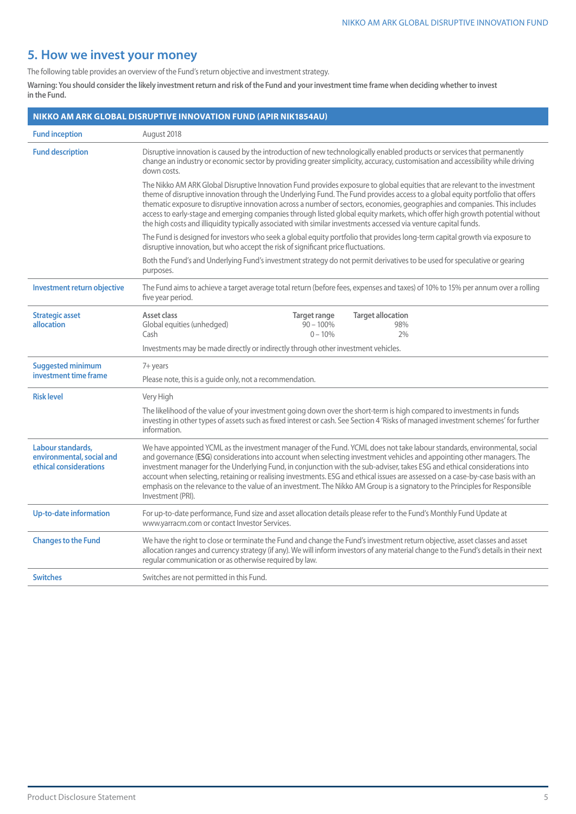# **5. How we invest your money**

The following table provides an overview of the Fund's return objective and investment strategy.

Warning: You should consider the likely investment return and risk of the Fund and your investment time frame when deciding whether to invest **in the Fund.**

|                                                                          | NIKKO AM ARK GLOBAL DISRUPTIVE INNOVATION FUND (APIR NIK1854AU)                                                                                                                                                                                                                                                                                                                                                                                                                                                                                                                                                                                                          |  |  |  |  |  |  |  |  |  |  |  |
|--------------------------------------------------------------------------|--------------------------------------------------------------------------------------------------------------------------------------------------------------------------------------------------------------------------------------------------------------------------------------------------------------------------------------------------------------------------------------------------------------------------------------------------------------------------------------------------------------------------------------------------------------------------------------------------------------------------------------------------------------------------|--|--|--|--|--|--|--|--|--|--|--|
| <b>Fund inception</b>                                                    | August 2018                                                                                                                                                                                                                                                                                                                                                                                                                                                                                                                                                                                                                                                              |  |  |  |  |  |  |  |  |  |  |  |
| <b>Fund description</b>                                                  | Disruptive innovation is caused by the introduction of new technologically enabled products or services that permanently<br>change an industry or economic sector by providing greater simplicity, accuracy, customisation and accessibility while driving<br>down costs.                                                                                                                                                                                                                                                                                                                                                                                                |  |  |  |  |  |  |  |  |  |  |  |
|                                                                          | The Nikko AM ARK Global Disruptive Innovation Fund provides exposure to global equities that are relevant to the investment<br>theme of disruptive innovation through the Underlying Fund. The Fund provides access to a global equity portfolio that offers<br>thematic exposure to disruptive innovation across a number of sectors, economies, geographies and companies. This includes<br>access to early-stage and emerging companies through listed global equity markets, which offer high growth potential without<br>the high costs and illiquidity typically associated with similar investments accessed via venture capital funds.                           |  |  |  |  |  |  |  |  |  |  |  |
|                                                                          | The Fund is designed for investors who seek a global equity portfolio that provides long-term capital growth via exposure to<br>disruptive innovation, but who accept the risk of significant price fluctuations.                                                                                                                                                                                                                                                                                                                                                                                                                                                        |  |  |  |  |  |  |  |  |  |  |  |
|                                                                          | Both the Fund's and Underlying Fund's investment strategy do not permit derivatives to be used for speculative or gearing<br>purposes.                                                                                                                                                                                                                                                                                                                                                                                                                                                                                                                                   |  |  |  |  |  |  |  |  |  |  |  |
| Investment return objective                                              | The Fund aims to achieve a target average total return (before fees, expenses and taxes) of 10% to 15% per annum over a rolling<br>five year period.                                                                                                                                                                                                                                                                                                                                                                                                                                                                                                                     |  |  |  |  |  |  |  |  |  |  |  |
| <b>Strategic asset</b><br>allocation                                     | Asset class<br><b>Target allocation</b><br>Target range<br>Global equities (unhedged)<br>$90 - 100\%$<br>98%<br>Cash<br>$0 - 10%$<br>2%                                                                                                                                                                                                                                                                                                                                                                                                                                                                                                                                  |  |  |  |  |  |  |  |  |  |  |  |
|                                                                          | Investments may be made directly or indirectly through other investment vehicles.                                                                                                                                                                                                                                                                                                                                                                                                                                                                                                                                                                                        |  |  |  |  |  |  |  |  |  |  |  |
| <b>Suggested minimum</b>                                                 | 7+ years                                                                                                                                                                                                                                                                                                                                                                                                                                                                                                                                                                                                                                                                 |  |  |  |  |  |  |  |  |  |  |  |
| investment time frame                                                    | Please note, this is a guide only, not a recommendation.                                                                                                                                                                                                                                                                                                                                                                                                                                                                                                                                                                                                                 |  |  |  |  |  |  |  |  |  |  |  |
| <b>Risk level</b>                                                        | Very High                                                                                                                                                                                                                                                                                                                                                                                                                                                                                                                                                                                                                                                                |  |  |  |  |  |  |  |  |  |  |  |
|                                                                          | The likelihood of the value of your investment going down over the short-term is high compared to investments in funds<br>investing in other types of assets such as fixed interest or cash. See Section 4 'Risks of managed investment schemes' for further<br>information.                                                                                                                                                                                                                                                                                                                                                                                             |  |  |  |  |  |  |  |  |  |  |  |
| Labour standards,<br>environmental, social and<br>ethical considerations | We have appointed YCML as the investment manager of the Fund. YCML does not take labour standards, environmental, social<br>and governance (ESG) considerations into account when selecting investment vehicles and appointing other managers. The<br>investment manager for the Underlying Fund, in conjunction with the sub-adviser, takes ESG and ethical considerations into<br>account when selecting, retaining or realising investments. ESG and ethical issues are assessed on a case-by-case basis with an<br>emphasis on the relevance to the value of an investment. The Nikko AM Group is a signatory to the Principles for Responsible<br>Investment (PRI). |  |  |  |  |  |  |  |  |  |  |  |
| Up-to-date information                                                   | For up-to-date performance, Fund size and asset allocation details please refer to the Fund's Monthly Fund Update at<br>www.yarracm.com or contact Investor Services.                                                                                                                                                                                                                                                                                                                                                                                                                                                                                                    |  |  |  |  |  |  |  |  |  |  |  |
| <b>Changes to the Fund</b>                                               | We have the right to close or terminate the Fund and change the Fund's investment return objective, asset classes and asset<br>allocation ranges and currency strategy (if any). We will inform investors of any material change to the Fund's details in their next<br>regular communication or as otherwise required by law.                                                                                                                                                                                                                                                                                                                                           |  |  |  |  |  |  |  |  |  |  |  |
| <b>Switches</b>                                                          | Switches are not permitted in this Fund.                                                                                                                                                                                                                                                                                                                                                                                                                                                                                                                                                                                                                                 |  |  |  |  |  |  |  |  |  |  |  |
|                                                                          |                                                                                                                                                                                                                                                                                                                                                                                                                                                                                                                                                                                                                                                                          |  |  |  |  |  |  |  |  |  |  |  |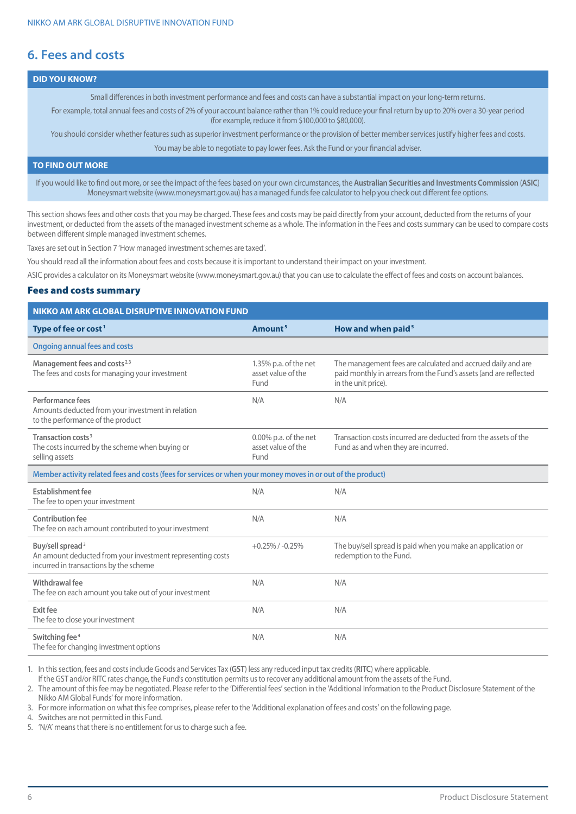# **6. Fees and costs**

### **DID YOU KNOW?**

Small differences in both investment performance and fees and costs can have a substantial impact on your long-term returns.

For example, total annual fees and costs of 2% of your account balance rather than 1% could reduce your final return by up to 20% over a 30-year period (for example, reduce it from \$100,000 to \$80,000).

You should consider whether features such as superior investment performance or the provision of better member services justify higher fees and costs.

You may be able to negotiate to pay lower fees. Ask the Fund or your financial adviser.

### **TO FIND OUT MORE**

If you would like to find out more, or see the impact of the fees based on your own circumstances, the **Australian Securities and Investments Commission** (**ASIC**) Moneysmart website (www.moneysmart.gov.au) has a managed funds fee calculator to help you check out different fee options.

This section shows fees and other costs that you may be charged. These fees and costs may be paid directly from your account, deducted from the returns of your investment, or deducted from the assets of the managed investment scheme as a whole. The information in the Fees and costs summary can be used to compare costs between different simple managed investment schemes.

Taxes are set out in Section 7 'How managed investment schemes are taxed'.

You should read all the information about fees and costs because it is important to understand their impact on your investment.

ASIC provides a calculator on its Moneysmart website (www.moneysmart.gov.au) that you can use to calculate the effect of fees and costs on account balances.

### Fees and costs summary

| <b>NIKKO AM ARK GLOBAL DISRUPTIVE INNOVATION FUND</b>                                                                                |                                                        |                                                                                                                                                          |
|--------------------------------------------------------------------------------------------------------------------------------------|--------------------------------------------------------|----------------------------------------------------------------------------------------------------------------------------------------------------------|
| Type of fee or cost <sup>1</sup>                                                                                                     | Amount <sup>5</sup>                                    | How and when paid <sup>5</sup>                                                                                                                           |
| <b>Ongoing annual fees and costs</b>                                                                                                 |                                                        |                                                                                                                                                          |
| Management fees and costs <sup>2,3</sup><br>The fees and costs for managing your investment                                          | 1.35% p.a. of the net<br>asset value of the<br>Fund    | The management fees are calculated and accrued daily and are<br>paid monthly in arrears from the Fund's assets (and are reflected<br>in the unit price). |
| Performance fees<br>Amounts deducted from your investment in relation<br>to the performance of the product                           | N/A                                                    | N/A                                                                                                                                                      |
| Transaction costs <sup>3</sup><br>The costs incurred by the scheme when buying or<br>selling assets                                  | $0.00\%$ p.a. of the net<br>asset value of the<br>Fund | Transaction costs incurred are deducted from the assets of the<br>Fund as and when they are incurred.                                                    |
| Member activity related fees and costs (fees for services or when your money moves in or out of the product)                         |                                                        |                                                                                                                                                          |
| Establishment fee<br>The fee to open your investment                                                                                 | N/A                                                    | N/A                                                                                                                                                      |
| <b>Contribution fee</b><br>The fee on each amount contributed to your investment                                                     | N/A                                                    | N/A                                                                                                                                                      |
| Buy/sell spread <sup>3</sup><br>An amount deducted from your investment representing costs<br>incurred in transactions by the scheme | $+0.25\%$ / $-0.25\%$                                  | The buy/sell spread is paid when you make an application or<br>redemption to the Fund.                                                                   |
| Withdrawal fee<br>The fee on each amount you take out of your investment                                                             | N/A                                                    | N/A                                                                                                                                                      |
| Exit fee<br>The fee to close your investment                                                                                         | N/A                                                    | N/A                                                                                                                                                      |
| Switching fee <sup>4</sup><br>The fee for changing investment options                                                                | N/A                                                    | N/A                                                                                                                                                      |

1. In this section, fees and costs include Goods and Services Tax (**GST**) less any reduced input tax credits (**RITC**) where applicable.

If the GST and/or RITC rates change, the Fund's constitution permits us to recover any additional amount from the assets of the Fund.

2. The amount of this fee may be negotiated. Please refer to the 'Differential fees' section in the 'Additional Information to the Product Disclosure Statement of the Nikko AM Global Funds' for more information.

3. For more information on what this fee comprises, please refer to the 'Additional explanation of fees and costs' on the following page.

4. Switches are not permitted in this Fund.

5. 'N/A' means that there is no entitlement for us to charge such a fee.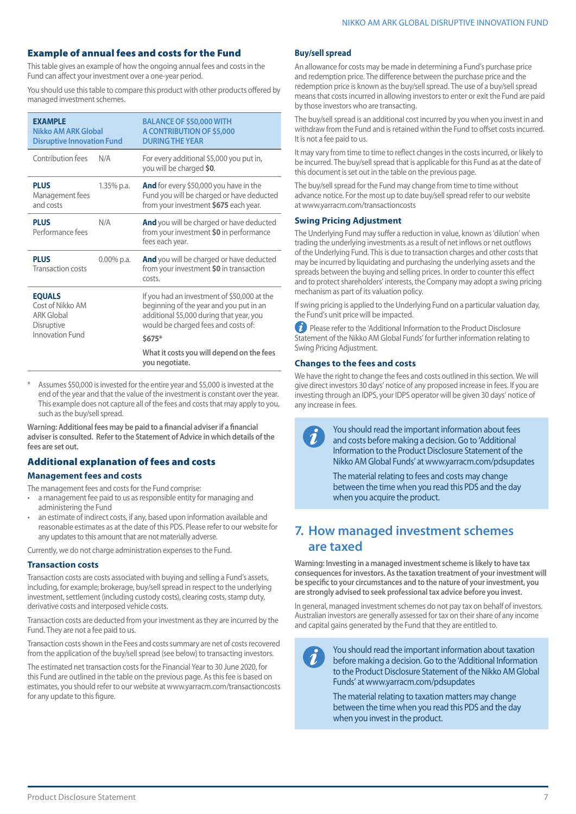### Example of annual fees and costs for the Fund

This table gives an example of how the ongoing annual fees and costs in the Fund can affect your investment over a one-year period.

You should use this table to compare this product with other products offered by managed investment schemes.

| <b>EXAMPLE</b><br>Nikko AM ARK Global<br><b>Disruptive Innovation Fund</b>  |               | <b>BALANCE OF \$50,000 WITH</b><br>A CONTRIBUTION OF \$5,000<br><b>DURING THE YEAR</b>                                                                                    |
|-----------------------------------------------------------------------------|---------------|---------------------------------------------------------------------------------------------------------------------------------------------------------------------------|
| Contribution fees                                                           | N/A           | For every additional \$5,000 you put in,<br>you will be charged \$0.                                                                                                      |
| <b>PLUS</b><br>Management fees<br>and costs                                 | 1.35% p.a.    | <b>And</b> for every \$50,000 you have in the<br>Fund you will be charged or have deducted<br>from your investment \$675 each year.                                       |
| <b>PLUS</b><br>Performance fees                                             | N/A           | And you will be charged or have deducted<br>from your investment \$0 in performance<br>fees each year.                                                                    |
| <b>PLUS</b><br><b>Transaction costs</b>                                     | $0.00\%$ p.a. | <b>And</b> you will be charged or have deducted<br>from your investment \$0 in transaction<br>costs.                                                                      |
| <b>EQUALS</b><br>Cost of Nikko AM<br><b>ARK Global</b><br><b>Disruptive</b> |               | If you had an investment of \$50,000 at the<br>beginning of the year and you put in an<br>additional \$5,000 during that year, you<br>would be charged fees and costs of: |
| Innovation Fund                                                             |               | $$675*$                                                                                                                                                                   |
|                                                                             |               | What it costs you will depend on the fees<br>you negotiate.                                                                                                               |

Assumes \$50,000 is invested for the entire year and \$5,000 is invested at the end of the year and that the value of the investment is constant over the year. This example does not capture all of the fees and costs that may apply to you, such as the buy/sell spread.

**Warning: Additional fees may be paid to a financial adviser if a financial adviser is consulted. Refer to the Statement of Advice in which details of the fees are set out.**

# Additional explanation of fees and costs

#### **Management fees and costs**

The management fees and costs for the Fund comprise:

- a management fee paid to us as responsible entity for managing and administering the Fund
- an estimate of indirect costs, if any, based upon information available and reasonable estimates as at the date of this PDS. Please refer to our website for any updates to this amount that are not materially adverse.

Currently, we do not charge administration expenses to the Fund.

### **Transaction costs**

Transaction costs are costs associated with buying and selling a Fund's assets, including, for example; brokerage, buy/sell spread in respect to the underlying investment, settlement (including custody costs), clearing costs, stamp duty, derivative costs and interposed vehicle costs.

Transaction costs are deducted from your investment as they are incurred by the Fund. They are not a fee paid to us.

Transaction costs shown in the Fees and costs summary are net of costs recovered from the application of the buy/sell spread (see below) to transacting investors.

The estimated net transaction costs for the Financial Year to 30 June 2020, for this Fund are outlined in the table on the previous page. As this fee is based on estimates, you should refer to our website at www.yarracm.com/transactioncosts for any update to this figure.

#### **Buy/sell spread**

An allowance for costs may be made in determining a Fund's purchase price and redemption price. The difference between the purchase price and the redemption price is known as the buy/sell spread. The use of a buy/sell spread means that costs incurred in allowing investors to enter or exit the Fund are paid by those investors who are transacting.

The buy/sell spread is an additional cost incurred by you when you invest in and withdraw from the Fund and is retained within the Fund to offset costs incurred. It is not a fee paid to us.

It may vary from time to time to reflect changes in the costs incurred, or likely to be incurred. The buy/sell spread that is applicable for this Fund as at the date of this document is set out in the table on the previous page.

The buy/sell spread for the Fund may change from time to time without advance notice. For the most up to date buy/sell spread refer to our website at www.yarracm.com/transactioncosts

### **Swing Pricing Adjustment**

The Underlying Fund may suffer a reduction in value, known as 'dilution' when trading the underlying investments as a result of net inflows or net outflows of the Underlying Fund. This is due to transaction charges and other costs that may be incurred by liquidating and purchasing the underlying assets and the spreads between the buying and selling prices. In order to counter this effect and to protect shareholders' interests, the Company may adopt a swing pricing mechanism as part of its valuation policy.

If swing pricing is applied to the Underlying Fund on a particular valuation day, the Fund's unit price will be impacted.

**Please refer to the 'Additional Information to the Product Disclosure** Statement of the Nikko AM Global Funds' for further information relating to Swing Pricing Adjustment.

### **Changes to the fees and costs**

We have the right to change the fees and costs outlined in this section. We will give direct investors 30 days' notice of any proposed increase in fees. If you are investing through an IDPS, your IDPS operator will be given 30 days' notice of any increase in fees.

> You should read the important information about fees and costs before making a decision. Go to 'Additional Information to the Product Disclosure Statement of the Nikko AM Global Funds' at www.yarracm.com/pdsupdates

The material relating to fees and costs may change between the time when you read this PDS and the day when you acquire the product.

# **7. How managed investment schemes are taxed**

**Warning: Investing in a managed investment scheme is likely to have tax consequences for investors. As the taxation treatment of your investment will be specific to your circumstances and to the nature of your investment, you are strongly advised to seek professional tax advice before you invest.**

In general, managed investment schemes do not pay tax on behalf of investors. Australian investors are generally assessed for tax on their share of any income and capital gains generated by the Fund that they are entitled to.

You should read the important information about taxation before making a decision. Go to the 'Additional Information to the Product Disclosure Statement of the Nikko AM Global Funds' at www.yarracm.com/pdsupdates

The material relating to taxation matters may change between the time when you read this PDS and the day when you invest in the product.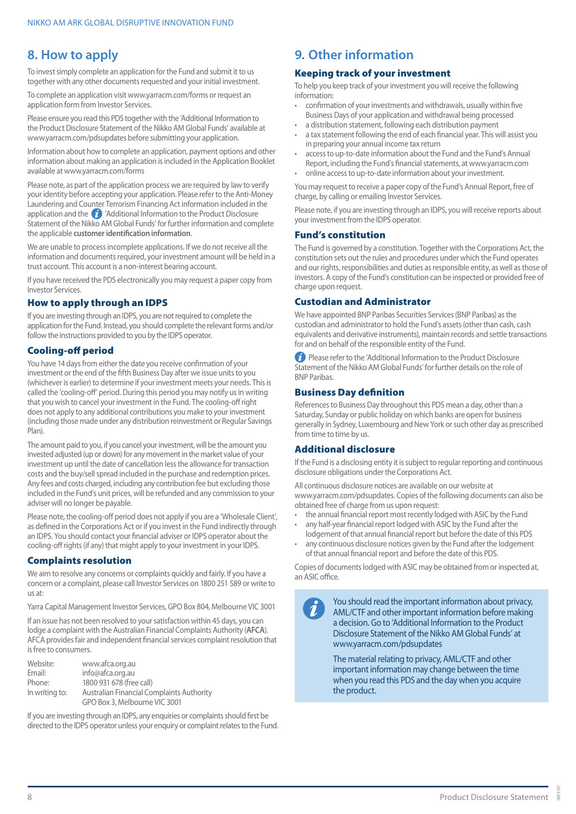# **8. How to apply**

To invest simply complete an application for the Fund and submit it to us together with any other documents requested and your initial investment.

To complete an application visit www.yarracm.com/forms or request an application form from Investor Services.

Please ensure you read this PDS together with the 'Additional Information to the Product Disclosure Statement of the Nikko AM Global Funds' available at www.yarracm.com/pdsupdates before submitting your application.

Information about how to complete an application, payment options and other information about making an application is included in the Application Booklet available at www.yarracm.com/forms

Please note, as part of the application process we are required by law to verify your identity before accepting your application. Please refer to the Anti-Money Laundering and Counter Terrorism Financing Act information included in the application and the  $\bullet$  'Additional Information to the Product Disclosure Statement of the Nikko AM Global Funds' for further information and complete the applicable **customer identification information**.

We are unable to process incomplete applications. If we do not receive all the information and documents required, your investment amount will be held in a trust account. This account is a non-interest bearing account.

If you have received the PDS electronically you may request a paper copy from Investor Services.

### How to apply through an IDPS

If you are investing through an IDPS, you are not required to complete the application for the Fund. Instead, you should complete the relevant forms and/or follow the instructions provided to you by the IDPS operator.

### Cooling-off period

You have 14 days from either the date you receive confirmation of your investment or the end of the fifth Business Day after we issue units to you (whichever is earlier) to determine if your investment meets your needs. This is called the 'cooling-off' period. During this period you may notify us in writing that you wish to cancel your investment in the Fund. The cooling-off right does not apply to any additional contributions you make to your investment (including those made under any distribution reinvestment or Regular Savings Plan).

The amount paid to you, if you cancel your investment, will be the amount you invested adjusted (up or down) for any movement in the market value of your investment up until the date of cancellation less the allowance for transaction costs and the buy/sell spread included in the purchase and redemption prices. Any fees and costs charged, including any contribution fee but excluding those included in the Fund's unit prices, will be refunded and any commission to your adviser will no longer be payable.

Please note, the cooling-off period does not apply if you are a 'Wholesale Client', as defined in the Corporations Act or if you invest in the Fund indirectly through an IDPS. You should contact your financial adviser or IDPS operator about the cooling-off rights (if any) that might apply to your investment in your IDPS.

### Complaints resolution

We aim to resolve any concerns or complaints quickly and fairly. If you have a concern or a complaint, please call Investor Services on 1800 251 589 or write to us at:

Yarra Capital Management Investor Services, GPO Box 804, Melbourne VIC 3001

If an issue has not been resolved to your satisfaction within 45 days, you can lodge a complaint with the Australian Financial Complaints Authority (**AFCA**). AFCA provides fair and independent financial services complaint resolution that is free to consumers.

| Website:       | www.afca.org.au                           |
|----------------|-------------------------------------------|
| Email:         | info@afca.org.au                          |
| Phone:         | 1800 931 678 (free call)                  |
| In writing to: | Australian Financial Complaints Authority |
|                | GPO Box 3, Melbourne VIC 3001             |

If you are investing through an IDPS, any enquiries or complaints should first be directed to the IDPS operator unless your enquiry or complaint relates to the Fund.

# **9. Other information**

### Keeping track of your investment

To help you keep track of your investment you will receive the following information:

- confirmation of your investments and withdrawals, usually within five Business Days of your application and withdrawal being processed
- a distribution statement, following each distribution payment
- a tax statement following the end of each financial year. This will assist you in preparing your annual income tax return
- access to up-to-date information about the Fund and the Fund's Annual Report, including the Fund's financial statements, at www.yarracm.com
- online access to up-to-date information about your investment.

You may request to receive a paper copy of the Fund's Annual Report, free of charge, by calling or emailing Investor Services.

Please note, if you are investing through an IDPS, you will receive reports about your investment from the IDPS operator.

#### Fund's constitution

The Fund is governed by a constitution. Together with the Corporations Act, the constitution sets out the rules and procedures under which the Fund operates and our rights, responsibilities and duties as responsible entity, as well as those of investors. A copy of the Fund's constitution can be inspected or provided free of charge upon request.

#### Custodian and Administrator

We have appointed BNP Paribas Securities Services (BNP Paribas) as the custodian and administrator to hold the Fund's assets (other than cash, cash equivalents and derivative instruments), maintain records and settle transactions for and on behalf of the responsible entity of the Fund.

**P** Please refer to the 'Additional Information to the Product Disclosure Statement of the Nikko AM Global Funds' for further details on the role of BNP Paribas.

### Business Day definition

References to Business Day throughout this PDS mean a day, other than a Saturday, Sunday or public holiday on which banks are open for business generally in Sydney, Luxembourg and New York or such other day as prescribed from time to time by us.

### Additional disclosure

If the Fund is a disclosing entity it is subject to regular reporting and continuous disclosure obligations under the Corporations Act.

All continuous disclosure notices are available on our website at www.yarracm.com/pdsupdates. Copies of the following documents can also be obtained free of charge from us upon request:

- the annual financial report most recently lodged with ASIC by the Fund any half-year financial report lodged with ASIC by the Fund after the
- lodgement of that annual financial report but before the date of this PDS any continuous disclosure notices given by the Fund after the lodgement of that annual financial report and before the date of this PDS.

Copies of documents lodged with ASIC may be obtained from or inspected at, an ASIC office.

> You should read the important information about privacy, AML/CTF and other important information before making a decision. Go to 'Additional Information to the Product Disclosure Statement of the Nikko AM Global Funds' at www.yarracm.com/pdsupdates

The material relating to privacy, AML/CTF and other important information may change between the time when you read this PDS and the day when you acquire the product.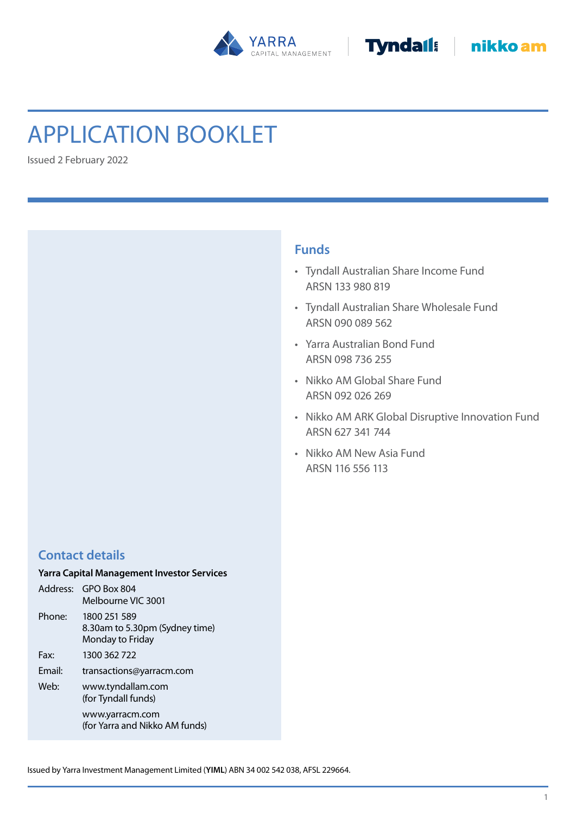



# Application Booklet

Issued 2 February 2022

# **Funds**

- • Tyndall Australian Share Income Fund ARSN 133 980 819
- • Tyndall Australian Share Wholesale Fund ARSN 090 089 562
- • Yarra Australian Bond Fund ARSN 098 736 255
- • Nikko AM Global Share Fund ARSN 092 026 269
- Nikko AM ARK Global Disruptive Innovation Fund ARSN 627 341 744
- • Nikko AM New Asia Fund ARSN 116 556 113

# **Contact details**

# **Yarra Capital Management Investor Services**

| Address: | GPO Box 804<br>Melbourne VIC 3001                                  |
|----------|--------------------------------------------------------------------|
| Phone:   | 1800 251 589<br>8.30am to 5.30pm (Sydney time)<br>Monday to Friday |
| Fax:     | 1300 362 722                                                       |
| Email:   | transactions@yarracm.com                                           |
| Web:     | www.tyndallam.com<br>(for Tyndall funds)                           |
|          | www.yarracm.com<br>(for Yarra and Nikko AM funds)                  |

Issued by Yarra Investment Management Limited (**YIML**) ABN 34 002 542 038, AFSL 229664.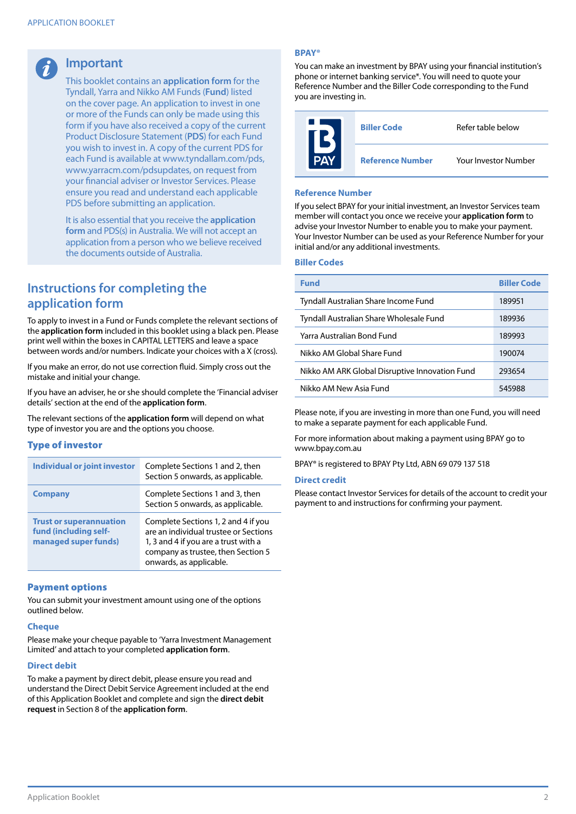# **Important**

This booklet contains an **application form** for the Tyndall, Yarra and Nikko AM Funds(**Fund**) listed on the cover page. An application to invest in one or more of the Funds can only be made using this form if you have also received a copy of the current Product Disclosure Statement (**PDS**) for each Fund you wish to invest in. A copy of the current PDS for each Fund is available at www.tyndallam.com/pds, www.yarracm.com/pdsupdates, on request from your financial adviser or Investor Services. Please ensure you read and understand each applicable PDS before submitting an application.

It is also essential that you receive the **application form** and PDS(s) in Australia. We will not accept an application from a person who we believe received the documents outside of Australia.

# **Instructions for completing the application form**

To apply to invest in a Fund or Funds complete the relevant sections of the **application form** included in this booklet using a black pen. Please print well within the boxes in CAPITAL LETTERS and leave a space between words and/or numbers. Indicate your choices with a X (cross).

If you make an error, do not use correction fluid. Simply cross out the mistake and initial your change.

If you have an adviser, he or she should complete the 'Financial adviser details'section at the end of the **application form**.

The relevant sections of the **application form** will depend on what type of investor you are and the options you choose.

### Type of investor

| <b>Individual or joint investor</b>                                             | Complete Sections 1 and 2, then<br>Section 5 onwards, as applicable.                                                                                                                  |
|---------------------------------------------------------------------------------|---------------------------------------------------------------------------------------------------------------------------------------------------------------------------------------|
| <b>Company</b>                                                                  | Complete Sections 1 and 3, then<br>Section 5 onwards, as applicable.                                                                                                                  |
| <b>Trust or superannuation</b><br>fund (including self-<br>managed super funds) | Complete Sections 1, 2 and 4 if you<br>are an individual trustee or Sections<br>1, 3 and 4 if you are a trust with a<br>company as trustee, then Section 5<br>onwards, as applicable. |

### Payment options

You can submit your investment amount using one of the options outlined below.

#### **Cheque**

Please make your cheque payable to 'Yarra Investment Management Limited' and attach to your completed **application form**.

#### **Direct debit**

To make a payment by direct debit, please ensure you read and understand the Direct Debit Service Agreement included at the end of this Application Booklet and complete and sign the **direct debit request** in Section 8 of the **application form**.

#### **BPAY®**

You can make an investment by BPAY using your financial institution's phone or internet banking service\*. You will need to quote your Reference Number and the Biller Code corresponding to the Fund you are investing in.

| <b>Biller Code</b>      | Refer table below           |
|-------------------------|-----------------------------|
| <b>Reference Number</b> | <b>Your Investor Number</b> |

#### **Reference Number**

If you select BPAY for your initial investment, an Investor Services team member will contact you once we receive your **application form** to advise your Investor Number to enable you to make your payment. Your Investor Number can be used as your Reference Number for your initial and/or any additional investments.

#### **Biller Codes**

| <b>Fund</b>                                    | <b>Biller Code</b> |
|------------------------------------------------|--------------------|
| Tyndall Australian Share Income Fund           | 189951             |
| Tyndall Australian Share Wholesale Fund        | 189936             |
| Yarra Australian Bond Fund                     | 189993             |
| Nikko AM Global Share Fund                     | 190074             |
| Nikko AM ARK Global Disruptive Innovation Fund | 293654             |
| Nikko AM New Asia Fund                         | 545988             |

Please note, if you are investing in more than one Fund, you will need to make a separate payment for each applicable Fund.

For more information about making a payment using BPAY go to www.bpay.com.au

BPAY® is registered to BPAY Pty Ltd, ABN 69 079 137 518

#### **Direct credit**

Please contact Investor Services for details of the account to credit your payment to and instructions for confirming your payment.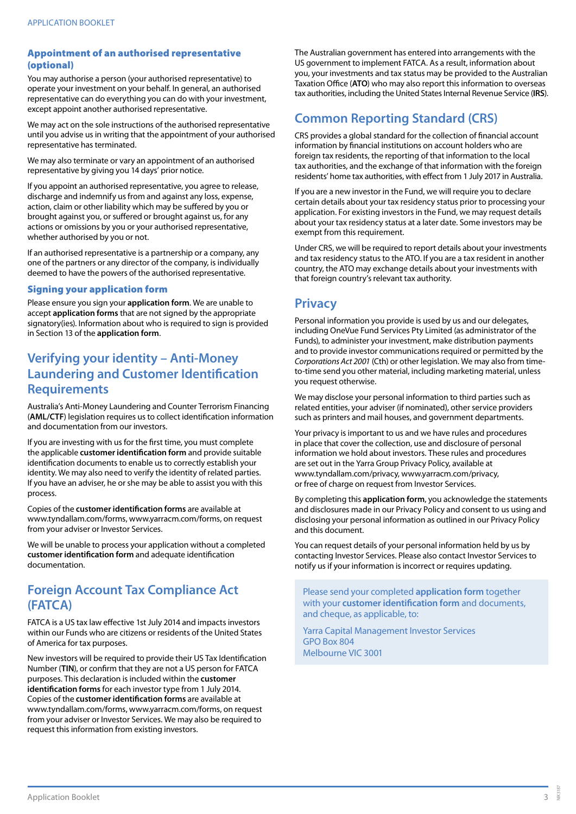### Appointment of an authorised representative (optional)

You may authorise a person (your authorised representative) to operate your investment on your behalf. In general, an authorised representative can do everything you can do with your investment, except appoint another authorised representative.

We may act on the sole instructions of the authorised representative until you advise us in writing that the appointment of your authorised representative has terminated.

We may also terminate or vary an appointment of an authorised representative by giving you 14 days' prior notice.

If you appoint an authorised representative, you agree to release, discharge and indemnify us from and against any loss, expense, action, claim or other liability which may be suffered by you or brought against you, or suffered or brought against us, for any actions or omissions by you or your authorised representative, whether authorised by you or not.

If an authorised representative is a partnership or a company, any one of the partners or any director of the company, is individually deemed to have the powers of the authorised representative.

### Signing your application form

Please ensure you sign your **application form**. We are unable to accept **application forms** that are not signed by the appropriate signatory(ies). Information about who is required to sign is provided in Section 13 of the **application form**.

# **Verifying your identity – Anti-Money Laundering and Customer Identification Requirements**

Australia's Anti-Money Laundering and Counter Terrorism Financing (**AML/CTF**) legislation requires usto collect identification information and documentation from our investors.

If you are investing with us for the first time, you must complete the applicable **customer identification form** and provide suitable identification documents to enable us to correctly establish your identity. We may also need to verify the identity of related parties. If you have an adviser, he orshe may be able to assist you with this process.

Copies of the **customer identification forms** are available at www.tyndallam.com/forms, www.yarracm.com/forms, on request from your adviser or Investor Services.

We will be unable to process your application without a completed **customer identification form** and adequate identification documentation.

# **Foreign Account Tax Compliance Act (FATCA)**

FATCA is a US tax law effective 1st July 2014 and impacts investors within our Funds who are citizens or residents of the United States of America for tax purposes.

New investors will be required to provide their US Tax Identification Number (**TIN**), or confirm that they are not a US person for FATCA purposes. This declaration is included within the customer **identification forms** for each investor type from 1 July 2014. Copies of the **customer identification forms** are available at www.tyndallam.com/forms, www.yarracm.com/forms, on request from your adviser or Investor Services. We may also be required to request this information from existing investors.

The Australian government has entered into arrangements with the US government to implement FATCA. As a result, information about you, your investments and tax status may be provided to the Australian Taxation Office (ATO) who may also report this information to overseas tax authorities, including the United States Internal Revenue Service (IRS).

# **Common Reporting Standard (CRS)**

CRS provides a global standard for the collection of financial account information by financial institutions on account holders who are foreign tax residents, the reporting of that information to the local tax authorities, and the exchange of that information with the foreign residents' home tax authorities, with effect from 1 July 2017 in Australia.

If you are a new investor in the Fund, we will require you to declare certain details about your tax residency status prior to processing your application. For existing investors in the Fund, we may request details about your tax residency status at a later date. Some investors may be exempt from this requirement.

Under CRS, we will be required to report details about your investments and tax residency status to the ATO. If you are a tax resident in another country, the ATO may exchange details about your investments with that foreign country's relevant tax authority.

# **Privacy**

Personal information you provide is used by us and our delegates, including OneVue Fund Services Pty Limited (as administrator of the Funds), to administer your investment, make distribution payments and to provide investor communications required or permitted by the *Corporations Act 2001* (Cth) or other legislation. We may also from timeto-time send you other material, including marketing material, unless you request otherwise.

We may disclose your personal information to third parties such as related entities, your adviser (if nominated), other service providers such as printers and mail houses, and government departments.

Your privacy is important to us and we have rules and procedures in place that cover the collection, use and disclosure of personal information we hold about investors. These rules and procedures are set out in the Yarra Group Privacy Policy, available at www.tyndallam.com/privacy, www.yarracm.com/privacy, or free of charge on request from Investor Services.

By completing this **application form**, you acknowledge the statements and disclosures made in our Privacy Policy and consent to us using and disclosing your personal information as outlined in our Privacy Policy and this document.

You can request details of your personal information held by us by contacting Investor Services. Please also contact Investor Servicesto notify us if your information is incorrect or requires updating.

Please send your completed **application form** together with your **customer identification form** and documents, and cheque, as applicable, to:

Yarra Capital Management Investor Services GPO Box 804 Melbourne VIC 3001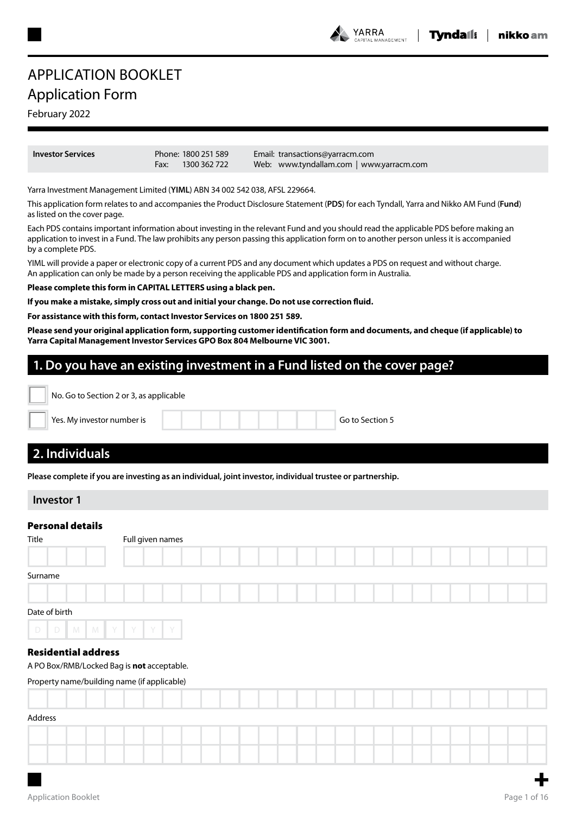#### **YARRA** .<br>Nagement

# APPLICATION BOOKLET Application Form

# February 2022

**Investo** 

| r Services |      | Phone: 1800 251 589 | Email: transactions@yarracm.com          |
|------------|------|---------------------|------------------------------------------|
|            | Fax: | 1300 362 722        | Web: www.tyndallam.com   www.yarracm.com |

Yarra Investment Management Limited (**YIML**) ABN 34 002 542 038, AFSL 229664.

This application form relates to and accompanies the Product Disclosure Statement (**PDS**) for each Tyndall, Yarra and Nikko AM Fund (**Fund**) as listed on the cover page.

Each PDS contains important information about investing in the relevant Fund and you should read the applicable PDS before making an application to invest in a Fund. The law prohibits any person passing this application form on to another person unless it is accompanied by a complete PDS.

YIML will provide a paper or electronic copy of a current PDS and any document which updates a PDS on request and without charge. An application can only be made by a person receiving the applicable PDS and application form in Australia.

**Please complete this form in CAPITAL LETTERS using a black pen.**

**If you make a mistake, simply cross out and initial your change. Do not use correction fluid.**

**For assistance with this form, contact Investor Services on 1800 251 589.**

**Please send your original application form, supporting customer identification form and documents, and cheque (if applicable) to Yarra Capital Management Investor Services GPO Box 804 Melbourne VIC 3001.**

# **1. Do you have an existing investment in a Fund listed on the cover page?**

| No. Go to Section 2 or 3, as applicable |                                                                                                           |
|-----------------------------------------|-----------------------------------------------------------------------------------------------------------|
| Yes. My investor number is              | Go to Section 5                                                                                           |
| 2. Individuals                          |                                                                                                           |
|                                         | Please complete if you are investing as an individual, joint investor, individual trustee or partnership. |
| <b>Investor 1</b>                       |                                                                                                           |
| <b>Personal details</b>                 |                                                                                                           |
| Title                                   | Full given names                                                                                          |
|                                         |                                                                                                           |
| Surname                                 |                                                                                                           |
|                                         |                                                                                                           |
| Date of birth                           |                                                                                                           |

### Residential address

A PO Box/RMB/Locked Bag is **not** acceptable.

D D M M Y Y Y Y Y

Property name/building name (if applicable)

| Address |  |  |  |  |  |  |  |  |  |  |  |  |        |
|---------|--|--|--|--|--|--|--|--|--|--|--|--|--------|
|         |  |  |  |  |  |  |  |  |  |  |  |  |        |
|         |  |  |  |  |  |  |  |  |  |  |  |  |        |
|         |  |  |  |  |  |  |  |  |  |  |  |  | $\sim$ |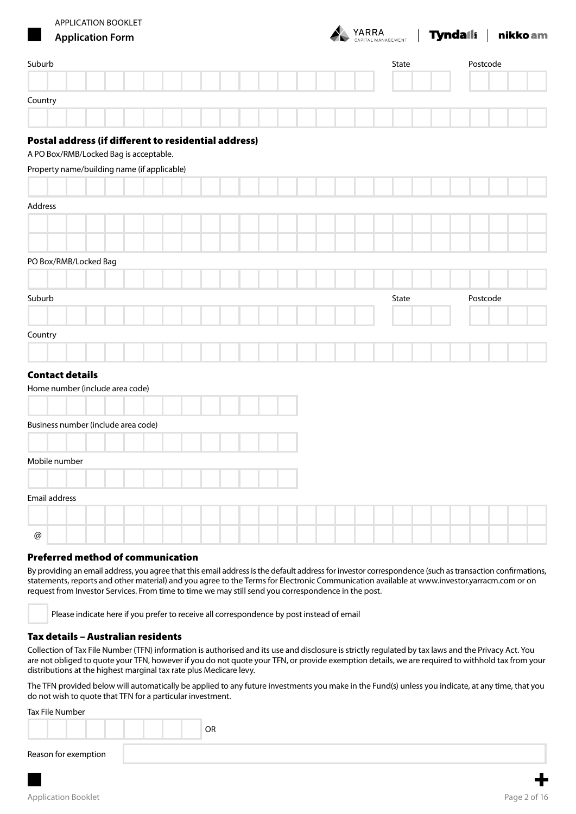

# **Tundall** inikkoam

| <u>a sa</u><br><b>Application Form</b>               |  |  | CAPITAL MANAGEMENT | <u>., </u> |          | $\perp$ |  |
|------------------------------------------------------|--|--|--------------------|------------|----------|---------|--|
| Suburb                                               |  |  | State              |            | Postcode |         |  |
|                                                      |  |  |                    |            |          |         |  |
| Country                                              |  |  |                    |            |          |         |  |
| Postal address (if different to residential address) |  |  |                    |            |          |         |  |
| A PO Box/RMB/Locked Bag is acceptable.               |  |  |                    |            |          |         |  |
| Property name/building name (if applicable)          |  |  |                    |            |          |         |  |
|                                                      |  |  |                    |            |          |         |  |
| Address                                              |  |  |                    |            |          |         |  |
|                                                      |  |  |                    |            |          |         |  |
| PO Box/RMB/Locked Bag                                |  |  |                    |            |          |         |  |
|                                                      |  |  |                    |            |          |         |  |
| Suburb                                               |  |  | State              |            | Postcode |         |  |
|                                                      |  |  |                    |            |          |         |  |
| Country                                              |  |  |                    |            |          |         |  |
|                                                      |  |  |                    |            |          |         |  |
| <b>Contact details</b>                               |  |  |                    |            |          |         |  |
| Home number (include area code)                      |  |  |                    |            |          |         |  |
|                                                      |  |  |                    |            |          |         |  |
| Business number (include area code)                  |  |  |                    |            |          |         |  |
| Mobile number                                        |  |  |                    |            |          |         |  |
|                                                      |  |  |                    |            |          |         |  |
| Email address                                        |  |  |                    |            |          |         |  |
|                                                      |  |  |                    |            |          |         |  |
| $^\text{\textregistered}$                            |  |  |                    |            |          |         |  |

### Preferred method of communication

By providing an email address, you agree that this email address is the default address for investor correspondence (such as transaction confirmations, statements, reports and other material) and you agree to the Terms for Electronic Communication available at www.investor.yarracm.com or on request from Investor Services. From time to time we may still send you correspondence in the post.

Please indicate here if you prefer to receive all correspondence by post instead of email

### Tax details – Australian residents

Collection of Tax File Number (TFN) information is authorised and its use and disclosure is strictly regulated by tax laws and the Privacy Act. You are not obliged to quote your TFN, however if you do not quote your TFN, or provide exemption details, we are required to withhold tax from your distributions at the highest marginal tax rate plus Medicare levy.

The TFN provided below will automatically be applied to any future investments you make in the Fund(s) unless you indicate, at any time, that you do not wish to quote that TFN for a particular investment.

#### Tax File Number

|                      |  | OR |
|----------------------|--|----|
| Reason for exemption |  |    |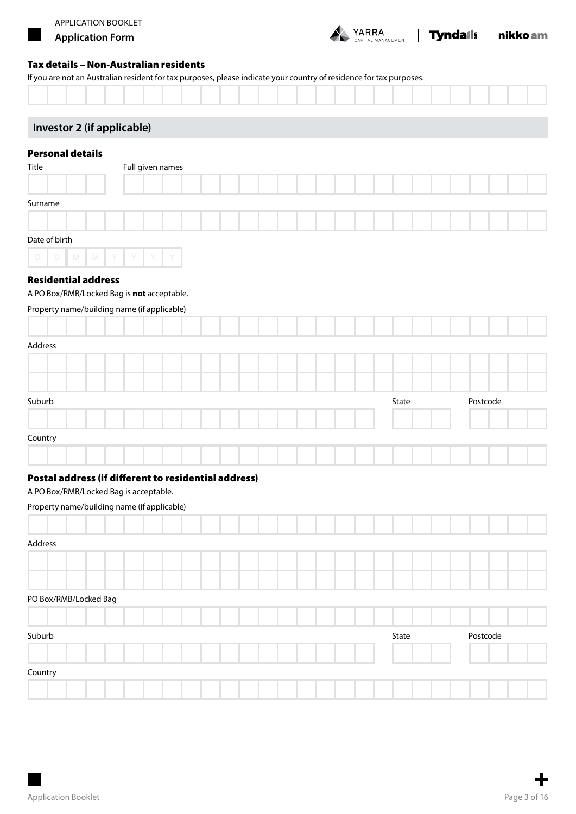

| Tyndail: | nikko am

### Tax details – Non-Australian residents

If you are not an Australian resident for tax purposes, please indicate your country of residence for tax purposes.

|  | . |  |  |
|--|---|--|--|

# **Investor 2 (if applicable)**

# Personal details

| Title         | Full given names |
|---------------|------------------|
|               |                  |
| Surname       |                  |
|               |                  |
| Date of birth |                  |
| DDMMYYY       | Y                |

### Residential address

A PO Box/RMB/Locked Bag is **not** acceptable.

### Property name/building name (if applicable)

| Address |  |  |  |  |  |  |  |  |       |  |          |  |  |
|---------|--|--|--|--|--|--|--|--|-------|--|----------|--|--|
|         |  |  |  |  |  |  |  |  |       |  |          |  |  |
|         |  |  |  |  |  |  |  |  |       |  |          |  |  |
| Suburb  |  |  |  |  |  |  |  |  | State |  | Postcode |  |  |
|         |  |  |  |  |  |  |  |  |       |  |          |  |  |
| Country |  |  |  |  |  |  |  |  |       |  |          |  |  |
|         |  |  |  |  |  |  |  |  |       |  |          |  |  |

### Postal address (if different to residential address)

A PO Box/RMB/Locked Bag is acceptable.

### Property name/building name (if applicable)

| Address               |  |  |  |  |  |  |  |       |  |          |  |  |
|-----------------------|--|--|--|--|--|--|--|-------|--|----------|--|--|
|                       |  |  |  |  |  |  |  |       |  |          |  |  |
|                       |  |  |  |  |  |  |  |       |  |          |  |  |
| PO Box/RMB/Locked Bag |  |  |  |  |  |  |  |       |  |          |  |  |
|                       |  |  |  |  |  |  |  |       |  |          |  |  |
| Suburb                |  |  |  |  |  |  |  | State |  | Postcode |  |  |
|                       |  |  |  |  |  |  |  |       |  |          |  |  |
| Country               |  |  |  |  |  |  |  |       |  |          |  |  |
|                       |  |  |  |  |  |  |  |       |  |          |  |  |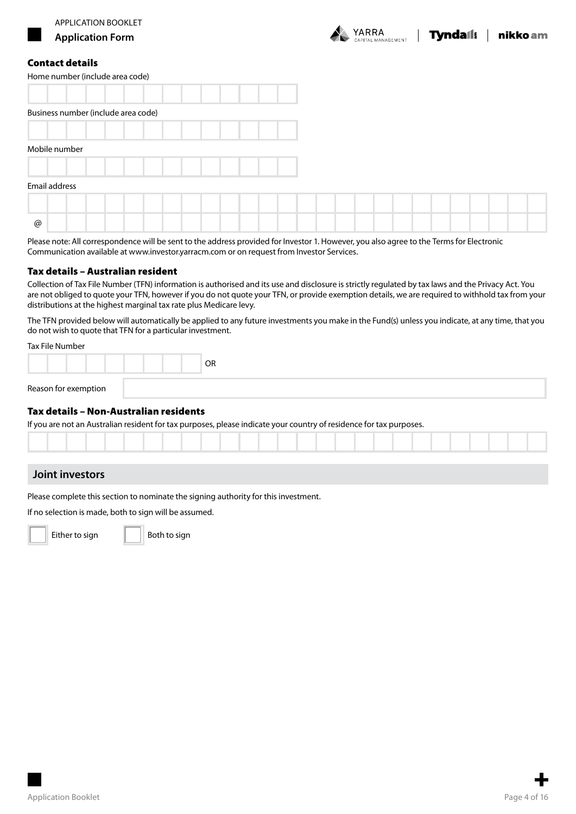

### Contact details

| Home number (include area code)     |  |  |  |  |  |  |  |  |  |  |
|-------------------------------------|--|--|--|--|--|--|--|--|--|--|
|                                     |  |  |  |  |  |  |  |  |  |  |
| Business number (include area code) |  |  |  |  |  |  |  |  |  |  |
|                                     |  |  |  |  |  |  |  |  |  |  |
| Mobile number                       |  |  |  |  |  |  |  |  |  |  |
|                                     |  |  |  |  |  |  |  |  |  |  |
| Email address                       |  |  |  |  |  |  |  |  |  |  |
|                                     |  |  |  |  |  |  |  |  |  |  |
| @                                   |  |  |  |  |  |  |  |  |  |  |

Please note: All correspondence will be sent to the address provided for Investor 1. However, you also agree to the Terms for Electronic Communication available at www.investor.yarracm.com or on request from Investor Services.

#### Tax details – Australian resident

Collection of Tax File Number (TFN) information is authorised and its use and disclosure is strictly regulated by tax laws and the Privacy Act. You are not obliged to quote your TFN, however if you do not quote your TFN, or provide exemption details, we are required to withhold tax from your distributions at the highest marginal tax rate plus Medicare levy.

The TFN provided below will automatically be applied to any future investments you make in the Fund(s) unless you indicate, at any time, that you do not wish to quote that TFN for a particular investment.

Tax File Number

|                      |  | <b>OR</b> |
|----------------------|--|-----------|
| Reason for exemption |  |           |

### Tax details – Non-Australian residents

If you are not an Australian resident for tax purposes, please indicate your country of residence for tax purposes.

### **Joint investors**

Please complete this section to nominate the signing authority for this investment.

If no selection is made, both to sign will be assumed.



Either to sign  $\|\|\$  Both to sign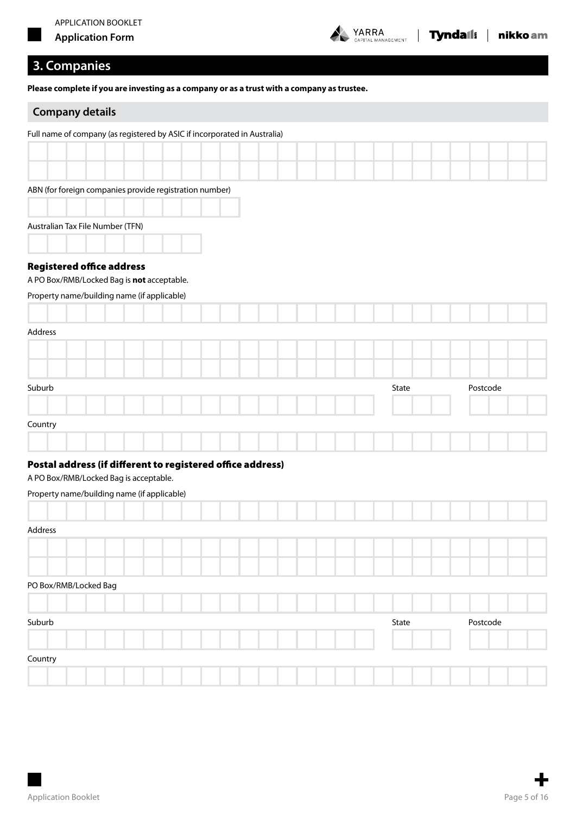

# **3. Companies**

**Please complete if you are investing as a company or as a trust with a company as trustee.**

# **Company details**

| Full name of company (as registered by ASIC if incorporated in Australia) |  |  |  |  |       |  |          |  |  |
|---------------------------------------------------------------------------|--|--|--|--|-------|--|----------|--|--|
|                                                                           |  |  |  |  |       |  |          |  |  |
|                                                                           |  |  |  |  |       |  |          |  |  |
| ABN (for foreign companies provide registration number)                   |  |  |  |  |       |  |          |  |  |
| Australian Tax File Number (TFN)                                          |  |  |  |  |       |  |          |  |  |
| <b>Registered office address</b>                                          |  |  |  |  |       |  |          |  |  |
| A PO Box/RMB/Locked Bag is not acceptable.                                |  |  |  |  |       |  |          |  |  |
| Property name/building name (if applicable)                               |  |  |  |  |       |  |          |  |  |
|                                                                           |  |  |  |  |       |  |          |  |  |
| Address                                                                   |  |  |  |  |       |  |          |  |  |
|                                                                           |  |  |  |  |       |  |          |  |  |
|                                                                           |  |  |  |  |       |  |          |  |  |
| Suburb                                                                    |  |  |  |  | State |  | Postcode |  |  |
|                                                                           |  |  |  |  |       |  |          |  |  |
| Country                                                                   |  |  |  |  |       |  |          |  |  |
|                                                                           |  |  |  |  |       |  |          |  |  |
| Postal address (if different to registered office address)                |  |  |  |  |       |  |          |  |  |
| A PO Box/RMB/Locked Bag is acceptable.                                    |  |  |  |  |       |  |          |  |  |
| Property name/building name (if applicable)                               |  |  |  |  |       |  |          |  |  |

| Address               |  |  |  |  |  |  |  |       |  |          |  |  |
|-----------------------|--|--|--|--|--|--|--|-------|--|----------|--|--|
|                       |  |  |  |  |  |  |  |       |  |          |  |  |
|                       |  |  |  |  |  |  |  |       |  |          |  |  |
| PO Box/RMB/Locked Bag |  |  |  |  |  |  |  |       |  |          |  |  |
|                       |  |  |  |  |  |  |  |       |  |          |  |  |
| Suburb                |  |  |  |  |  |  |  | State |  | Postcode |  |  |
|                       |  |  |  |  |  |  |  |       |  |          |  |  |
| Country               |  |  |  |  |  |  |  |       |  |          |  |  |
|                       |  |  |  |  |  |  |  |       |  |          |  |  |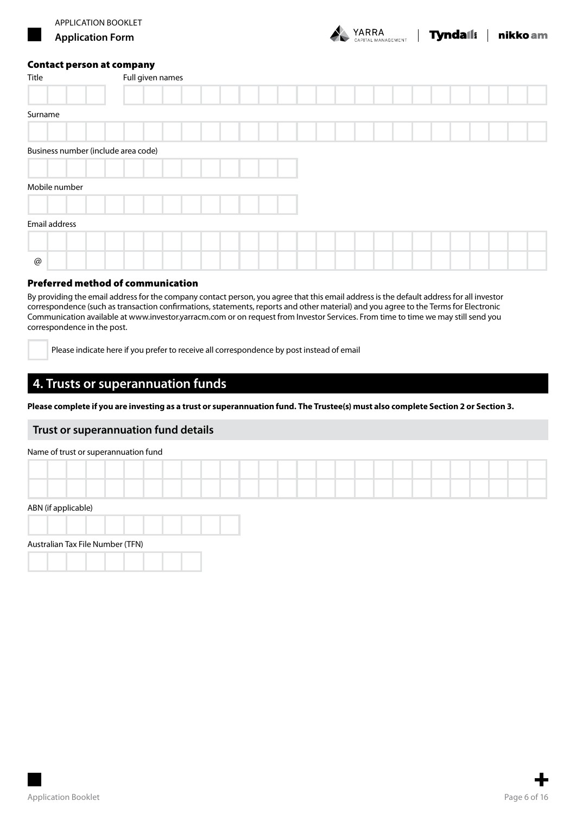

| Title                               | Full given names |
|-------------------------------------|------------------|
|                                     |                  |
| Surname                             |                  |
|                                     |                  |
| Business number (include area code) |                  |
|                                     |                  |
| Mobile number                       |                  |
|                                     |                  |
| Email address                       |                  |
|                                     |                  |
| $^\text{\textregistered}$           |                  |

### Preferred method of communication

By providing the email address for the company contact person, you agree that this email address is the default address for all investor correspondence (such as transaction confirmations, statements, reports and other material) and you agree to the Terms for Electronic Communication available at www.investor.yarracm.com or on request from Investor Services. From time to time we may still send you correspondence in the post.

Please indicate here if you prefer to receive all correspondence by post instead of email

# **4. Trusts or superannuation funds**

**Please complete if you are investing as a trust or superannuation fund. The Trustee(s) must also complete Section 2 or Section 3.**

### **Trust or superannuation fund details**

#### Name of trust or superannuation fund

| ABN (if applicable) |  |  |  |  |  |  |  |  |  |  |  |  |  |
|---------------------|--|--|--|--|--|--|--|--|--|--|--|--|--|

# Australian Tax File Number (TFN)



RA<br><sup>MANAGEMENT</sub> | **Tyndaíl**! | nikko am</sup>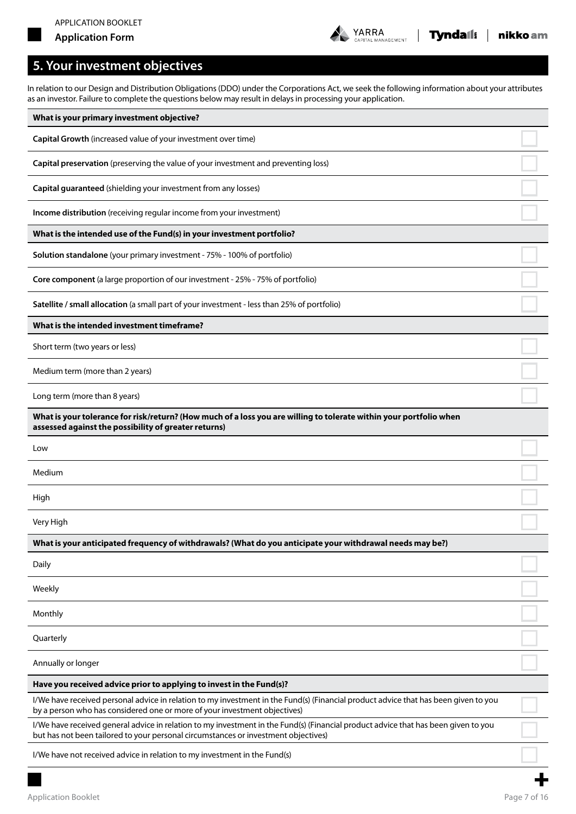

 $\overline{\phantom{a}}$ 

# **5. Your investment objectives**

In relation to our Design and Distribution Obligations (DDO) under the Corporations Act, we seek the following information about your attributes as an investor. Failure to complete the questions below may result in delays in processing your application.

| What is your primary investment objective?                                                                                                                                                                               |  |
|--------------------------------------------------------------------------------------------------------------------------------------------------------------------------------------------------------------------------|--|
| Capital Growth (increased value of your investment over time)                                                                                                                                                            |  |
| Capital preservation (preserving the value of your investment and preventing loss)                                                                                                                                       |  |
| Capital guaranteed (shielding your investment from any losses)                                                                                                                                                           |  |
| Income distribution (receiving regular income from your investment)                                                                                                                                                      |  |
| What is the intended use of the Fund(s) in your investment portfolio?                                                                                                                                                    |  |
| Solution standalone (your primary investment - 75% - 100% of portfolio)                                                                                                                                                  |  |
| Core component (a large proportion of our investment - 25% - 75% of portfolio)                                                                                                                                           |  |
| Satellite / small allocation (a small part of your investment - less than 25% of portfolio)                                                                                                                              |  |
| What is the intended investment timeframe?                                                                                                                                                                               |  |
| Short term (two years or less)                                                                                                                                                                                           |  |
| Medium term (more than 2 years)                                                                                                                                                                                          |  |
| Long term (more than 8 years)                                                                                                                                                                                            |  |
| What is your tolerance for risk/return? (How much of a loss you are willing to tolerate within your portfolio when<br>assessed against the possibility of greater returns)                                               |  |
| Low                                                                                                                                                                                                                      |  |
| Medium                                                                                                                                                                                                                   |  |
| High                                                                                                                                                                                                                     |  |
| Very High                                                                                                                                                                                                                |  |
| What is your anticipated frequency of withdrawals? (What do you anticipate your withdrawal needs may be?)                                                                                                                |  |
| Daily                                                                                                                                                                                                                    |  |
| Weekly                                                                                                                                                                                                                   |  |
| Monthly                                                                                                                                                                                                                  |  |
| Quarterly                                                                                                                                                                                                                |  |
| Annually or longer                                                                                                                                                                                                       |  |
| Have you received advice prior to applying to invest in the Fund(s)?                                                                                                                                                     |  |
| I/We have received personal advice in relation to my investment in the Fund(s) (Financial product advice that has been given to you<br>by a person who has considered one or more of your investment objectives)         |  |
| I/We have received general advice in relation to my investment in the Fund(s) (Financial product advice that has been given to you<br>but has not been tailored to your personal circumstances or investment objectives) |  |
| I/We have not received advice in relation to my investment in the Fund(s)                                                                                                                                                |  |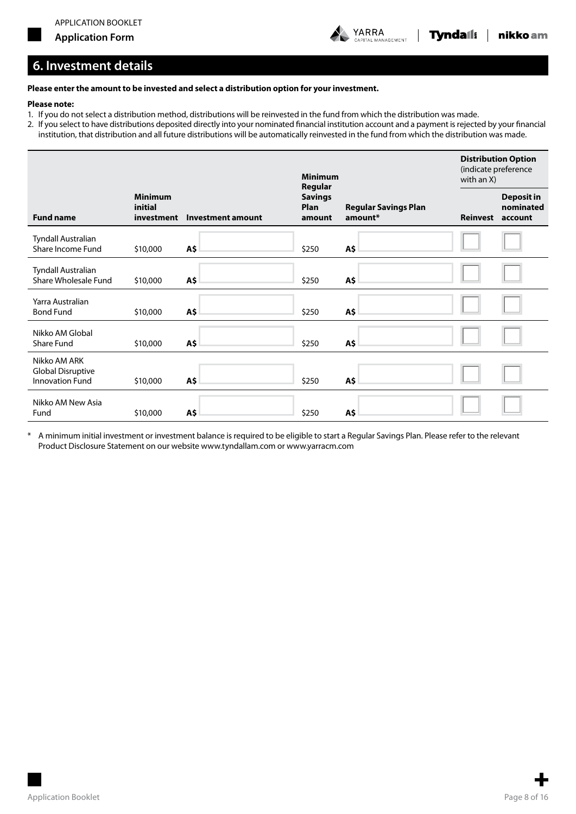

# **6. Investment details**

#### **Please enter the amount to be invested and select a distribution option for your investment.**

#### **Please note:**

- 1. If you do not select a distribution method, distributions will be reinvested in the fund from which the distribution was made.
- 2. If you select to have distributions deposited directly into your nominated financial institution account and a payment is rejected by your financial institution, that distribution and all future distributions will be automatically reinvested in the fund from which the distribution was made.

|                                                                    |                                         |                          | <b>Minimum</b><br>Regular        |                                        | (indicate preference<br>with an X) | <b>Distribution Option</b>                |
|--------------------------------------------------------------------|-----------------------------------------|--------------------------|----------------------------------|----------------------------------------|------------------------------------|-------------------------------------------|
| <b>Fund name</b>                                                   | <b>Minimum</b><br>initial<br>investment | <b>Investment amount</b> | <b>Savings</b><br>Plan<br>amount | <b>Regular Savings Plan</b><br>amount* | <b>Reinvest</b>                    | <b>Deposit in</b><br>nominated<br>account |
| Tyndall Australian<br>Share Income Fund                            | \$10,000                                | A\$                      | \$250                            | A\$                                    |                                    |                                           |
| Tyndall Australian<br>Share Wholesale Fund                         | \$10,000                                | A\$                      | \$250                            | A\$                                    |                                    |                                           |
| Yarra Australian<br><b>Bond Fund</b>                               | \$10,000                                | A\$                      | \$250                            | A\$                                    |                                    |                                           |
| Nikko AM Global<br><b>Share Fund</b>                               | \$10,000                                | A\$                      | \$250                            | A\$                                    |                                    |                                           |
| Nikko AM ARK<br><b>Global Disruptive</b><br><b>Innovation Fund</b> | \$10,000                                | A\$                      | \$250                            | Α\$                                    |                                    |                                           |
| Nikko AM New Asia<br>Fund                                          | \$10,000                                | A\$                      | \$250                            | A\$                                    |                                    |                                           |

\* A minimum initial investment or investment balance is required to be eligible to start a Regular Savings Plan. Please refer to the relevant Product Disclosure Statement on our website www.tyndallam.com or www.yarracm.com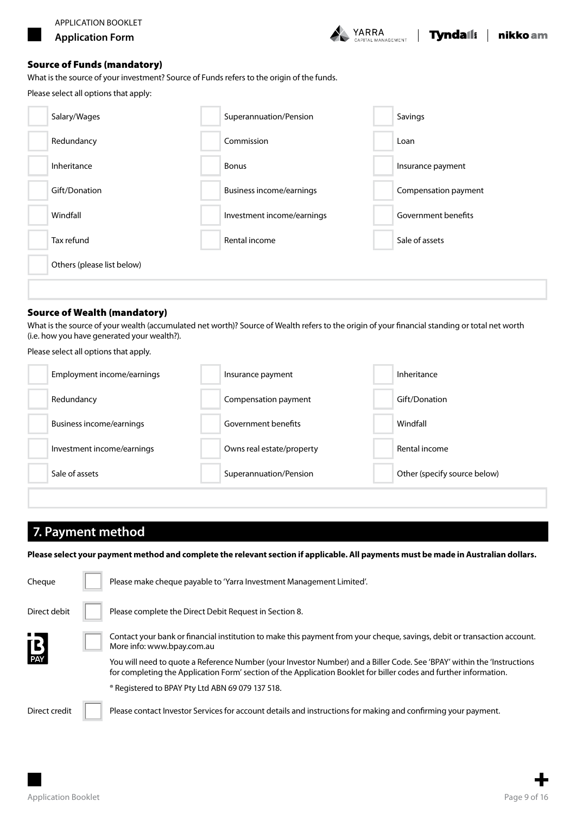

#### Source of Funds (mandatory)

What is the source of your investment? Source of Funds refers to the origin of the funds.

Please select all options that apply:

| Salary/Wages               | Superannuation/Pension          | Savings              |
|----------------------------|---------------------------------|----------------------|
| Redundancy                 | Commission                      | Loan                 |
| Inheritance                | <b>Bonus</b>                    | Insurance payment    |
| Gift/Donation              | <b>Business income/earnings</b> | Compensation payment |
| Windfall                   | Investment income/earnings      | Government benefits  |
| Tax refund                 | Rental income                   | Sale of assets       |
| Others (please list below) |                                 |                      |

### Source of Wealth (mandatory)

What is the source of your wealth (accumulated net worth)? Source of Wealth refers to the origin of your financial standing or total net worth (i.e. how you have generated your wealth?).

Please select all options that apply.

| Employment income/earnings | Insurance payment         | Inheritance                  |
|----------------------------|---------------------------|------------------------------|
| Redundancy                 | Compensation payment      | Gift/Donation                |
| Business income/earnings   | Government benefits       | Windfall                     |
| Investment income/earnings | Owns real estate/property | Rental income                |
| Sale of assets             | Superannuation/Pension    | Other (specify source below) |

# **7. Payment method**

**Please select your payment method and complete the relevant section if applicable. All payments must be made in Australian dollars.**

| Cheque                    | Please make cheque payable to 'Yarra Investment Management Limited'.                                                                                                                                                                         |
|---------------------------|----------------------------------------------------------------------------------------------------------------------------------------------------------------------------------------------------------------------------------------------|
| Direct debit              | Please complete the Direct Debit Request in Section 8.                                                                                                                                                                                       |
| $\mathbf{B}_{\text{PAY}}$ | Contact your bank or financial institution to make this payment from your cheque, savings, debit or transaction account.<br>More info: www.bpay.com.au                                                                                       |
|                           | You will need to quote a Reference Number (your Investor Number) and a Biller Code. See 'BPAY' within the 'Instructions<br>for completing the Application Form' section of the Application Booklet for biller codes and further information. |
|                           | ® Registered to BPAY Pty Ltd ABN 69 079 137 518.                                                                                                                                                                                             |
| Direct credit             | Please contact Investor Services for account details and instructions for making and confirming your payment.                                                                                                                                |

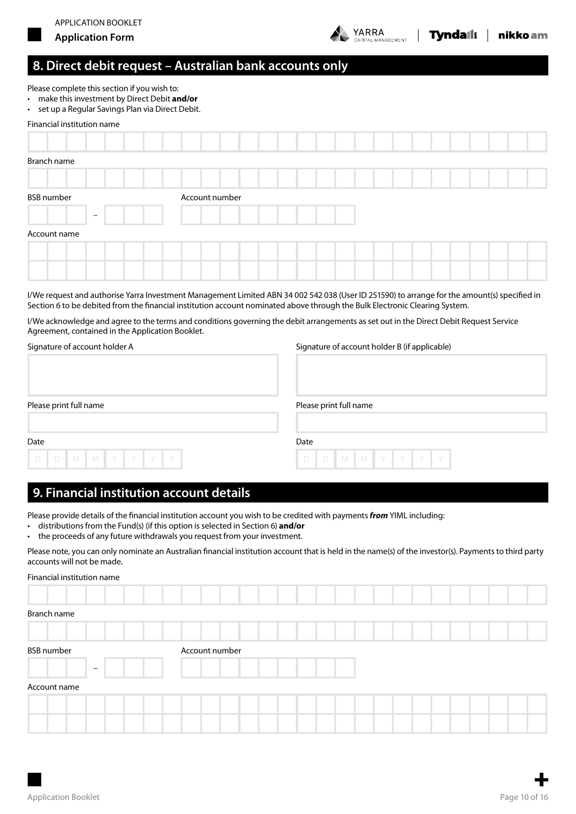



# **8. Direct debit request – Australian bank accounts only**

Please complete this section if you wish to:

- • make thisinvestment by Direct Debit **and/or**
- • set up a Regular Savings Plan via Direct Debit.

# Financial institution name Branch name BSB number Account number – Account name I/We request and authorise Yarra Investment Management Limited ABN 34 002 542 038 (User ID 251590) to arrange for the amount(s) specified in

Section 6 to be debited from the financial institution account nominated above through the Bulk Electronic Clearing System.

I/We acknowledge and agree to the terms and conditions governing the debit arrangements as set out in the Direct Debit Request Service Agreement, contained in the Application Booklet.

| Signature of account holder A | Signature of account holder B (if applicable) |
|-------------------------------|-----------------------------------------------|
| Please print full name        | Please print full name                        |
| Date<br>D D M M Y Y Y Y Y     | Date<br>D D M M Y Y Y Y                       |

# **9. Financial institution account details**

Please provide details of the financial institution account you wish to be credited with payments *from* YIML including:

- distributions from the Fund(s) (if this option is selected in Section 6) **and/or**
- the proceeds of any future withdrawals you request from your investment.

Please note, you can only nominate an Australian financial institution account that is held in the name(s) of the investor(s). Payments to third party accounts will not be made.

| Financial institution name |                |  |  |  |  |  |  |  |
|----------------------------|----------------|--|--|--|--|--|--|--|
|                            |                |  |  |  |  |  |  |  |
| Branch name                |                |  |  |  |  |  |  |  |
|                            |                |  |  |  |  |  |  |  |
|                            |                |  |  |  |  |  |  |  |
| <b>BSB</b> number          | Account number |  |  |  |  |  |  |  |
| $-$                        |                |  |  |  |  |  |  |  |
| Account name               |                |  |  |  |  |  |  |  |
|                            |                |  |  |  |  |  |  |  |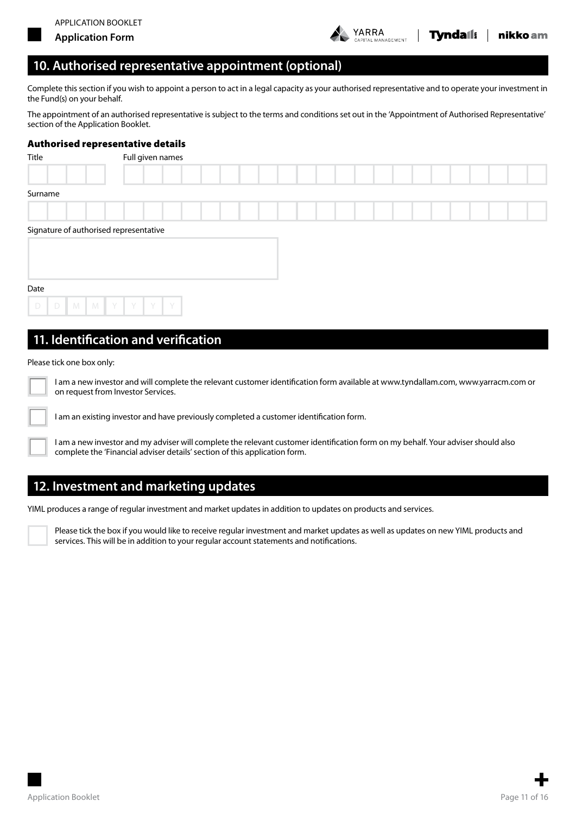

Complete this section if you wish to appoint a person to act in a legal capacity as your authorised representative and to operate your investment in the Fund(s) on your behalf.

The appointment of an authorised representative is subject to the terms and conditions set out in the 'Appointment of Authorised Representative' section of the Application Booklet.

### Authorised representative details

| Title                                  | Full given names |  |  |  |  |  |  |  |  |
|----------------------------------------|------------------|--|--|--|--|--|--|--|--|
|                                        |                  |  |  |  |  |  |  |  |  |
| Surname                                |                  |  |  |  |  |  |  |  |  |
|                                        |                  |  |  |  |  |  |  |  |  |
| Signature of authorised representative |                  |  |  |  |  |  |  |  |  |
|                                        |                  |  |  |  |  |  |  |  |  |
|                                        |                  |  |  |  |  |  |  |  |  |
| Date                                   |                  |  |  |  |  |  |  |  |  |
|                                        | D D M M Y Y Y Y  |  |  |  |  |  |  |  |  |
|                                        |                  |  |  |  |  |  |  |  |  |

# **11. Identification and verification**

#### Please tick one box only:



I am a new investor and will complete the relevant customer identification form available at www.tyndallam.com, www.yarracm.com or on request from Investor Services.

I am an existing investor and have previously completed a customer identification form.

I am a new investor and my adviser will complete the relevant customer identification form on my behalf. Your adviser should also complete the 'Financial adviser details' section of this application form.

# **12. Investment and marketing updates**

YIML produces a range of regular investment and market updates in addition to updates on products and services.

Please tick the box if you would like to receive regular investment and market updates as well as updates on new YIML products and services. This will be in addition to your regular account statements and notifications.

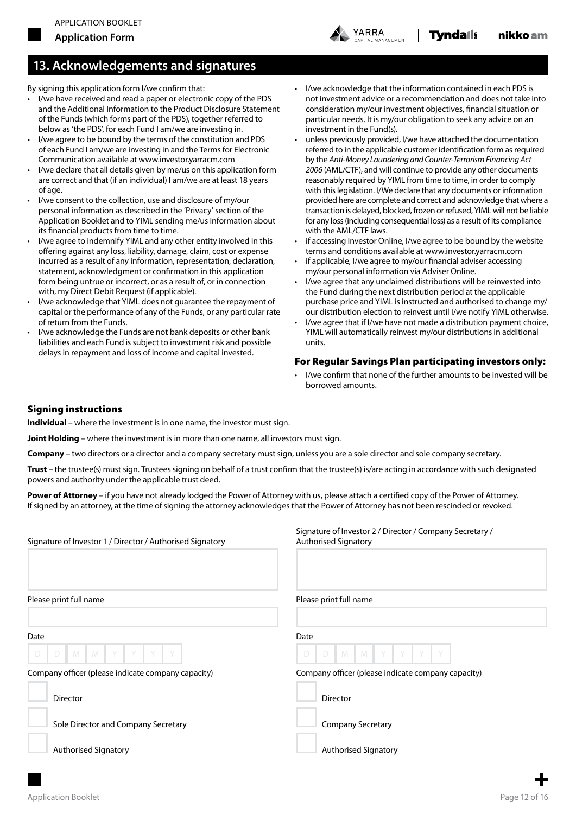

# **13. Acknowledgements and signatures**

By signing this application form I/we confirm that:

- • I/we have received and read a paper or electronic copy of the PDS and the Additional Information to the Product Disclosure Statement of the Funds (which forms part of the PDS), together referred to below as 'the PDS', for each Fund I am/we are investing in.
- I/we agree to be bound by the terms of the constitution and PDS of each Fund I am/we are investing in and the Terms for Electronic Communication available at www.investor.yarracm.com
- I/we declare that all details given by me/us on this application form are correct and that (if an individual) I am/we are at least 18 years of age.
- I/we consent to the collection, use and disclosure of my/our personal information as described in the 'Privacy' section of the Application Booklet and to YIML sending me/us information about its financial products from time to time.
- I/we agree to indemnify YIML and any other entity involved in this offering against any loss, liability, damage, claim, cost or expense incurred as a result of any information, representation, declaration, statement, acknowledgment or confirmation in this application form being untrue or incorrect, or as a result of, or in connection with, my Direct Debit Request (if applicable).
- I/we acknowledge that YIML does not guarantee the repayment of capital or the performance of any of the Funds, or any particular rate of return from the Funds.
- I/we acknowledge the Funds are not bank deposits or other bank liabilities and each Fund is subject to investment risk and possible delays in repayment and loss of income and capital invested.
- • I/we acknowledge that the information contained in each PDS is not investment advice or a recommendation and does not take into consideration my/our investment objectives, financial situation or particular needs. It is my/our obligation to seek any advice on an investment in the Fund(s).
- unless previously provided, I/we have attached the documentation referred to in the applicable customer identification form as required by the *Anti-Money Laundering and Counter-Terrorism Financing Act 2006* (AML/CTF), and will continue to provide any other documents reasonably required by YIML from time to time, in order to comply with this legislation. I/We declare that any documents or information provided here are complete and correct and acknowledge that where a transaction is delayed, blocked, frozen or refused, YIML will not be liable for any loss (including consequential loss) as a result of its compliance with the AML/CTF laws.
- if accessing Investor Online, I/we agree to be bound by the website terms and conditions available at www.investor.yarracm.com
- if applicable, I/we agree to my/our financial adviser accessing my/our personal information via Adviser Online.
- I/we agree that any unclaimed distributions will be reinvested into the Fund during the next distribution period at the applicable purchase price and YIML is instructed and authorised to change my/ our distribution election to reinvest until I/we notify YIML otherwise.
- I/we agree that if I/we have not made a distribution payment choice, YIML will automatically reinvest my/our distributions in additional units.

### For Regular Savings Plan participating investors only:

I/we confirm that none of the further amounts to be invested will be borrowed amounts.

### Signing instructions

**Individual** – where the investment is in one name, the investor must sign.

**Joint Holding** – where the investment is in more than one name, all investors must sign.

**Company** – two directors or a director and a company secretary must sign, unless you are a sole director and sole company secretary.

**Trust** – the trustee(s) must sign. Trustees signing on behalf of a trust confirm that the trustee(s) is/are acting in accordance with such designated powers and authority under the applicable trust deed.

**Power of Attorney** – if you have not already lodged the Power of Attorney with us, please attach a certified copy of the Power of Attorney. If signed by an attorney, at the time of signing the attorney acknowledges that the Power of Attorney has not been rescinded or revoked.

| Signature of Investor 1 / Director / Authorised Signatory                                      | Signature of Investor 2 / Director / Company Secretary /<br><b>Authorised Signatory</b>     |
|------------------------------------------------------------------------------------------------|---------------------------------------------------------------------------------------------|
| Please print full name                                                                         | Please print full name                                                                      |
| Date<br>Y<br>$M$ $M$<br>Y<br>Y<br>D<br>D<br>Company officer (please indicate company capacity) | Date<br>M<br>Y<br>D<br>$-M$<br>Y<br>D<br>Company officer (please indicate company capacity) |
| Director                                                                                       | <b>Director</b>                                                                             |
| Sole Director and Company Secretary                                                            | <b>Company Secretary</b>                                                                    |
| <b>Authorised Signatory</b>                                                                    | <b>Authorised Signatory</b>                                                                 |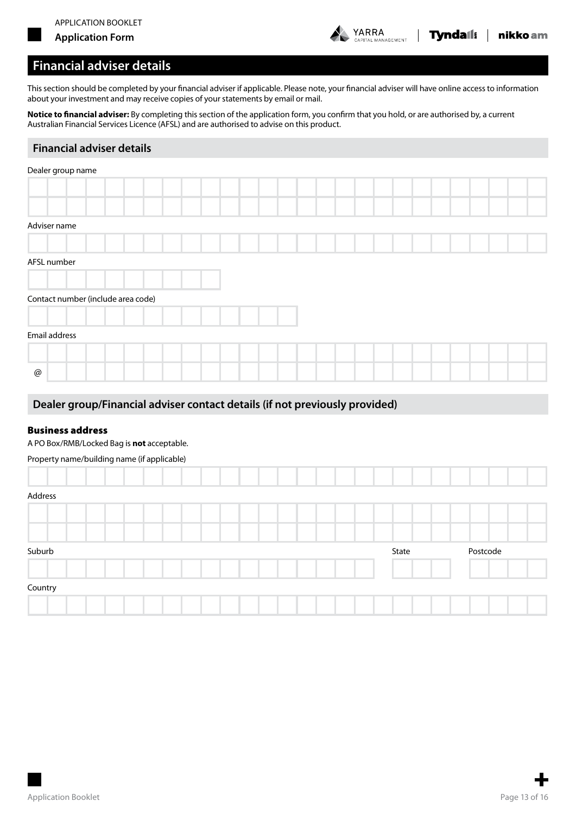



## **Financial adviser details**

This section should be completed by your financial adviser if applicable. Please note, your financial adviser will have online access to information about your investment and may receive copies of your statements by email or mail.

**Notice to financial adviser:** By completing this section of the application form, you confirm that you hold, or are authorised by, a current Australian Financial Services Licence (AFSL) and are authorised to advise on this product.

### **Financial adviser details**

| Dealer group name                  |  |  |  |  |  |  |  |  |
|------------------------------------|--|--|--|--|--|--|--|--|
|                                    |  |  |  |  |  |  |  |  |
|                                    |  |  |  |  |  |  |  |  |
| Adviser name                       |  |  |  |  |  |  |  |  |
|                                    |  |  |  |  |  |  |  |  |
| AFSL number                        |  |  |  |  |  |  |  |  |
|                                    |  |  |  |  |  |  |  |  |
| Contact number (include area code) |  |  |  |  |  |  |  |  |
|                                    |  |  |  |  |  |  |  |  |
| Email address                      |  |  |  |  |  |  |  |  |
|                                    |  |  |  |  |  |  |  |  |
| @                                  |  |  |  |  |  |  |  |  |
|                                    |  |  |  |  |  |  |  |  |

### **Dealer group/Financial adviser contact details (if not previously provided)**

### Business address

A PO Box/RMB/Locked Bag is **not** acceptable.

### Property name/building name (if applicable)

| Address |  |  |  |  |  |  |  |       |  |          |  |  |
|---------|--|--|--|--|--|--|--|-------|--|----------|--|--|
|         |  |  |  |  |  |  |  |       |  |          |  |  |
|         |  |  |  |  |  |  |  |       |  |          |  |  |
|         |  |  |  |  |  |  |  |       |  |          |  |  |
| Suburb  |  |  |  |  |  |  |  | State |  | Postcode |  |  |
|         |  |  |  |  |  |  |  |       |  |          |  |  |
| Country |  |  |  |  |  |  |  |       |  |          |  |  |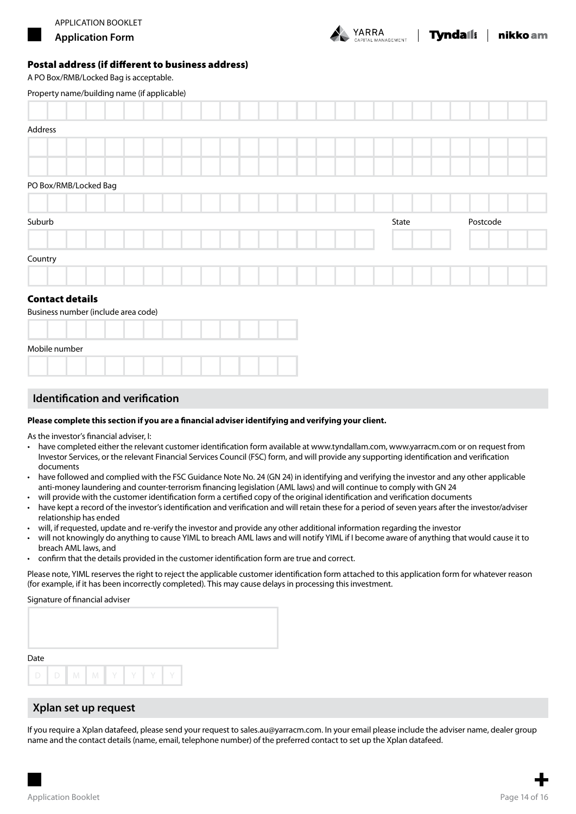

### Postal address (if different to business address)

A PO Box/RMB/Locked Bag is acceptable.

| Property name/building name (if applicable) |  |  |  |  |  |       |  |  |          |  |  |  |  |
|---------------------------------------------|--|--|--|--|--|-------|--|--|----------|--|--|--|--|
|                                             |  |  |  |  |  |       |  |  |          |  |  |  |  |
| Address                                     |  |  |  |  |  |       |  |  |          |  |  |  |  |
|                                             |  |  |  |  |  |       |  |  |          |  |  |  |  |
|                                             |  |  |  |  |  |       |  |  |          |  |  |  |  |
| PO Box/RMB/Locked Bag                       |  |  |  |  |  |       |  |  |          |  |  |  |  |
|                                             |  |  |  |  |  |       |  |  |          |  |  |  |  |
| Suburb                                      |  |  |  |  |  | State |  |  | Postcode |  |  |  |  |
|                                             |  |  |  |  |  |       |  |  |          |  |  |  |  |
| Country                                     |  |  |  |  |  |       |  |  |          |  |  |  |  |
|                                             |  |  |  |  |  |       |  |  |          |  |  |  |  |
| <b>Contact details</b>                      |  |  |  |  |  |       |  |  |          |  |  |  |  |
| Business number (include area code)         |  |  |  |  |  |       |  |  |          |  |  |  |  |
|                                             |  |  |  |  |  |       |  |  |          |  |  |  |  |
| Mobile number                               |  |  |  |  |  |       |  |  |          |  |  |  |  |
|                                             |  |  |  |  |  |       |  |  |          |  |  |  |  |

## **Identification and verification**

#### **Please complete this section if you are a financial adviser identifying and verifying your client.**

As the investor's financial adviser, I:

- have completed either the relevant customer identification form available at www.tyndallam.com, www.yarracm.com or on request from Investor Services, or the relevant Financial Services Council (FSC) form, and will provide any supporting identification and verification documents
- have followed and complied with the FSC Guidance Note No. 24 (GN 24) in identifying and verifying the investor and any other applicable anti-money laundering and counter-terrorism financing legislation (AML laws) and will continue to comply with GN 24
- will provide with the customer identification form a certified copy of the original identification and verification documents
- have kept a record of the investor's identification and verification and will retain these for a period of seven years after the investor/adviser relationship has ended
- • will, if requested, update and re-verify the investor and provide any other additional information regarding the investor
- will not knowingly do anything to cause YIML to breach AML laws and will notify YIML if I become aware of anything that would cause it to breach AML laws, and
- confirm that the details provided in the customer identification form are true and correct.

Please note, YIML reserves the right to reject the applicable customer identification form attached to this application form for whatever reason (for example, if it has been incorrectly completed). This may cause delays in processing this investment.

#### Signature of financial adviser

| Date |             |  |  |   |   |
|------|-------------|--|--|---|---|
|      |             |  |  |   |   |
|      | D D M M Y Y |  |  | Y | V |

### **Xplan set up request**

If you require a Xplan datafeed, please send your request to sales.au@yarracm.com. In your email please include the adviser name, dealer group name and the contact details (name, email, telephone number) of the preferred contact to set up the Xplan datafeed.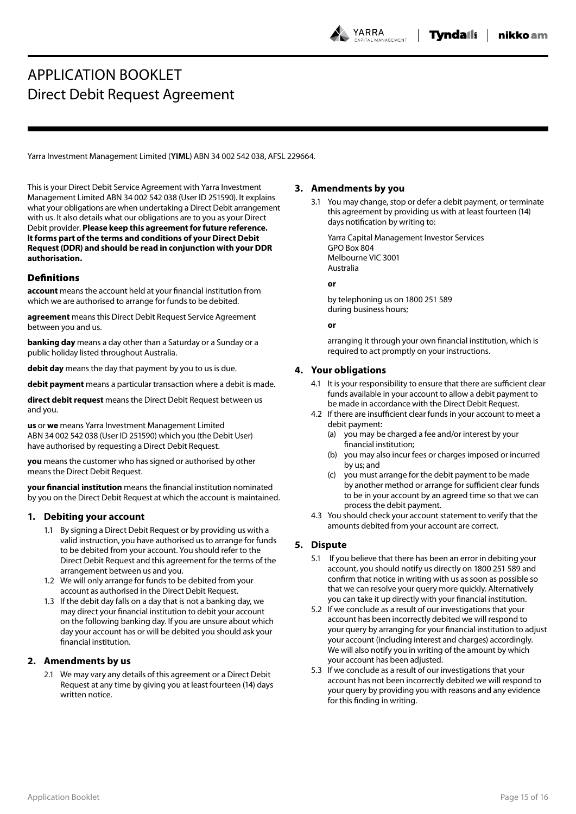YARRA .<br>Nagement

# APPLICATION BOOKLET Direct Debit Request Agreement

Yarra Investment Management Limited (**YIML**) ABN 34 002 542 038, AFSL 229664.

This is your Direct Debit Service Agreement with Yarra Investment Management Limited ABN 34 002 542 038 (User ID 251590). It explains what your obligations are when undertaking a Direct Debit arrangement with us. It also details what our obligations are to you as your Direct Debit provider. **Please keep this agreement for future reference. lt forms part of the terms and conditions of your Direct Debit Request (DDR) and should be read in conjunction with your DDR authorisation.**

### **Definitions**

**account** means the account held at your financial institution from which we are authorised to arrange for funds to be debited.

**agreement** means this Direct Debit Request Service Agreement between you and us.

**banking day** means a day other than a Saturday or a Sunday or a public holiday listed throughout Australia.

**debit day** means the day that payment by you to us is due.

**debit payment** means a particular transaction where a debit is made.

**direct debit request** means the Direct Debit Request between us and you.

**us** or **we** means Yarra Investment Management Limited ABN 34 002 542 038 (User ID 251590) which you (the Debit User) have authorised by requesting a Direct Debit Request.

**you** means the customer who has signed or authorised by other means the Direct Debit Request.

**your financial institution** means the financial institution nominated by you on the Direct Debit Request at which the account is maintained.

#### **1. Debiting your account**

- 1.1 By signing a Direct Debit Request or by providing us with a valid instruction, you have authorised us to arrange for funds to be debited from your account. You should refer to the Direct Debit Request and this agreement for the terms of the arrangement between us and you.
- 1.2 We will only arrange for funds to be debited from your account as authorised in the Direct Debit Request.
- 1.3 If the debit day falls on a day that is not a banking day, we may direct your financial institution to debit your account on the following banking day. If you are unsure about which day your account has or will be debited you should ask your financial institution.

### **2. Amendments by us**

2.1 We may vary any details of this agreement or a Direct Debit Request at any time by giving you at least fourteen (14) days written notice.

#### **3. Amendments by you**

3.1 You may change, stop or defer a debit payment, or terminate this agreement by providing us with at least fourteen (14) days notification by writing to:

Yarra Capital Management Investor Services GPO Box 804 Melbourne VIC 3001 Australia

#### **or**

by telephoning us on 1800 251 589 during business hours;

#### **or**

arranging it through your own financial institution, which is required to act promptly on your instructions.

### **4. Your obligations**

- 4.1 It is your responsibility to ensure that there are sufficient clear funds available in your account to allow a debit payment to be made in accordance with the Direct Debit Request.
- 4.2 If there are insufficient clear funds in your account to meet a debit payment:
	- (a) you may be charged a fee and/or interest by your financial institution;
	- (b) you may also incur fees or charges imposed or incurred by us; and
	- (c) you must arrange for the debit payment to be made by another method or arrange for sufficient clear funds to be in your account by an agreed time so that we can process the debit payment.
- 4.3 You should check your account statement to verify that the amounts debited from your account are correct.

### **5. Dispute**

- 5.1 If you believe that there has been an error in debiting your account, you should notify us directly on 1800 251 589 and confirm that notice in writing with us as soon as possible so that we can resolve your query more quickly. Alternatively you can take it up directly with your financial institution.
- 5.2 If we conclude as a result of our investigations that your account has been incorrectly debited we will respond to your query by arranging for your financial institution to adjust your account (including interest and charges) accordingly. We will also notify you in writing of the amount by which your account has been adjusted.
- 5.3 If we conclude as a result of our investigations that your account has not been incorrectly debited we will respond to your query by providing you with reasons and any evidence for this finding in writing.